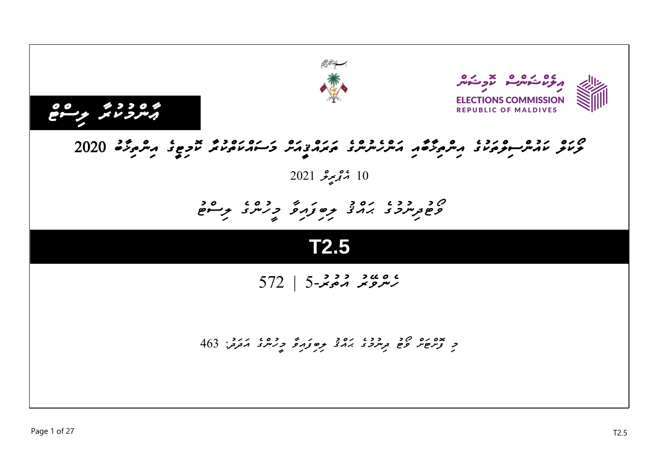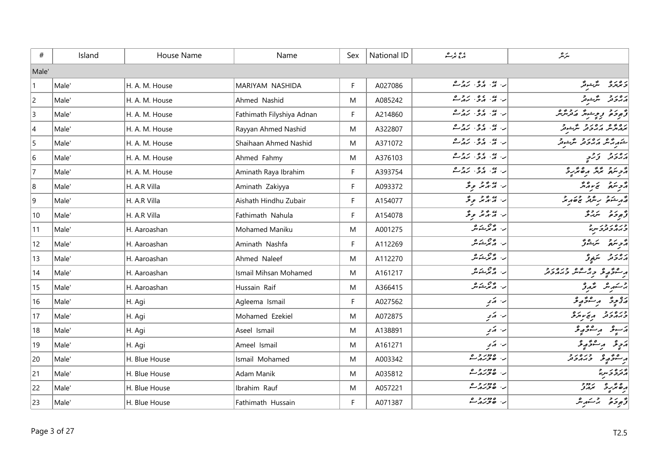| #              | Island | House Name     | Name                      | Sex       | National ID | ، ه ، مر ه<br>د <u>،</u> بر ه     | ىئرىتر                                 |
|----------------|--------|----------------|---------------------------|-----------|-------------|-----------------------------------|----------------------------------------|
| Male'          |        |                |                           |           |             |                                   |                                        |
| $\vert$ 1      | Male'  | H. A. M. House | MARIYAM NASHIDA           | F         | A027086     | 2, 3, 3, 3, 3, 3                  | رەرە شەر                               |
| 2              | Male'  | H. A. M. House | Ahmed Nashid              | M         | A085242     | 2, 2, 3, 3, 3, 3, 3               | رەر تەشەر                              |
| $\vert$ 3      | Male'  | H. A. M. House | Fathimath Filyshiya Adnan | F         | A214860     | ر. می می می کرده                  | وتجوفا ووجبة كالاشر                    |
| $\vert 4$      | Male'  | H. A. M. House | Rayyan Ahmed Nashid       | M         | A322807     | ر. می می در ده                    | ره ده د برورو محمد د                   |
| $\overline{5}$ | Male'  | H. A. M. House | Shaihaan Ahmed Nashid     | M         | A371072     | 2, 3, 3, 3, 3, 3, 3               | ے مرتکس مرکز دی سر شرور                |
| $\overline{6}$ | Male'  | H. A. M. House | Ahmed Fahmy               | ${\sf M}$ | A376103     | 2, 3, 3, 3, 3, 3, 3               | پروتر کرگرم                            |
| 7              | Male'  | H. A. M. House | Aminath Raya Ibrahim      | F         | A393754     | 2, 3, 3, 3, 4                     | أزوينهم بزائر المقتررة                 |
| 8              | Male'  | H. A.R Villa   | Aminath Zakiyya           | F         | A093372     | ر. می پژیمر و بخر                 | הבתים היו הי                           |
| $ 9\rangle$    | Male'  | H. A.R Villa   | Aishath Hindhu Zubair     | F         | A154077     | ر. مې پر وگ                       | مەر شەق بەشقى تەھەر تە                 |
| 10             | Male'  | H. A.R Villa   | Fathimath Nahula          | F         | A154078     | ر. ئەندىخ بوق                     | وُ و دَ و د و و                        |
| 11             | Male'  | H. Aaroashan   | Mohamed Maniku            | ${\sf M}$ | A001275     | ر. ئەچرىشەنگە                     | כ גם ג כ ג<br>כ ג ג כ تو כ سور         |
| 12             | Male'  | H. Aaroashan   | Aminath Nashfa            | F         | A112269     | ر. ئەچرىشەنگە                     | أأدح سكره سكروا المحمد وأكل            |
| 13             | Male'  | H. Aaroashan   | Ahmed Naleef              | M         | A112270     | ر. ئەچرىشەنلە                     | ىرەر ئىنجۇ                             |
| 14             | Male'  | H. Aaroashan   | Ismail Mihsan Mohamed     | M         | A161217     | ر. ئەنزىشەنلە                     | ړ هغږي ورکش ورور د                     |
| 15             | Male'  | H. Aaroashan   | Hussain Raif              | ${\sf M}$ | A366415     | ر. ئۇچرىشەنگە                     | ىز سەر سىر ئەر ئى<br>مەسىر بىر         |
| 16             | Male'  | H. Agi         | Agleema Ismail            | F         | A027562     | ر آمری                            | ړې په د شو په و                        |
| 17             | Male'  | H. Agi         | Mohamed Ezekiel           | M         | A072875     | را آرې                            | ورورو متمراكم                          |
| 18             | Male'  | H. Agi         | Aseel Ismail              | M         | A138891     | ر، مړي                            | أتمسوها وسفوضي                         |
| 19             | Male'  | H. Agi         | Ameel Ismail              | M         | A161271     | ر، مړي                            | أرَوِدْ بِرِ وَوَبِرْدُ                |
| 20             | Male'  | H. Blue House  | Ismail Mohamed            | M         | A003342     | ه دوبر و ه<br>ر۰ گ <i>امور</i> در | ە سىقۇم بۇ<br>و ر ه ر و<br>تر پر ژ تر  |
| 21             | Male'  | H. Blue House  | Adam Manik                | M         | A035812     | ه دوبر و ه<br>ر۰ گ <i>امور</i> در | پر ده ر سرر<br>پر ترو و سربا           |
| 22             | Male'  | H. Blue House  | Ibrahim Rauf              | M         | A057221     | ر. ھور دے                         | ە ھەترىر <i>9</i><br>ر دو د<br>بورو تو |
| 23             | Male'  | H. Blue House  | Fathimath Hussain         | F         | A071387     | ر. ھۆرىر ھ                        | ۇيوۋە برىسىرىر                         |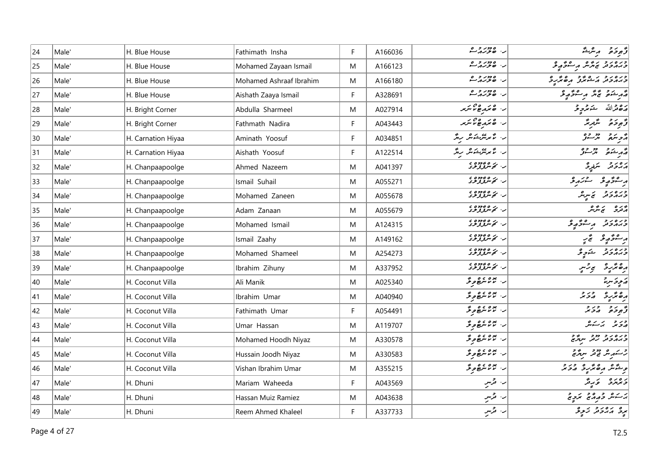| 24 | Male' | H. Blue House      | Fathimath Insha         | F           | A166036 | ر. ھور دے                                 | أزُوجو المسرائية                             |
|----|-------|--------------------|-------------------------|-------------|---------|-------------------------------------------|----------------------------------------------|
| 25 | Male' | H. Blue House      | Mohamed Zayaan Ismail   | M           | A166123 | ە دەر دە<br>ر. ھۈرەر ب                    | כממכני המת תשתתי                             |
| 26 | Male' | H. Blue House      | Mohamed Ashraaf Ibrahim | M           | A166180 | ر ودر د ه                                 | כנסק ב גם ביב תפיצת כ                        |
| 27 | Male' | H. Blue House      | Aishath Zaaya Ismail    | F           | A328691 | ه دوبر و ه                                | مەر شەھ تەش بەسىۋە بۇ                        |
| 28 | Male' | H. Bright Corner   | Abdulla Sharmeel        | M           | A027914 | ر ، ھىزر ھى مىزىر                         | رەقراللە شەرىرى                              |
| 29 | Male' | H. Bright Corner   | Fathmath Nadira         | $\mathsf F$ | A043443 | ر محمد مقامته                             | توالا والمستقر المستقر المستقر               |
| 30 | Male' | H. Carnation Hiyaa | Aminath Yoosuf          | F           | A034851 | ر، ئائىرىترىشەش بەرگ                      | ۇ يەرە بۇر دە                                |
| 31 | Male' | H. Carnation Hiyaa | Aishath Yoosuf          | F           | A122514 | ر، الأبرىكرىشكى بەرگە                     | ۇرمەشقى ئىز جەم                              |
| 32 | Male' | H. Chanpaapoolge   | Ahmed Nazeem            | M           | A041397 | د . مخه سووه ،<br>ر . مخه سووونو ت        | پرور د ستوری                                 |
| 33 | Male' | H. Chanpaapoolge   | Ismail Suhail           | M           | A055271 | ه د ۲۵۶۶ و.<br>ر۰ که سرو و <del>د</del> و | وستؤوع ستروع                                 |
| 34 | Male' | H. Chanpaapoolge   | Mohamed Zaneen          | M           | A055678 | ر. کرسوژوه ،<br>ر. کرسوژومر               | ورەرو كەرىر                                  |
| 35 | Male' | H. Chanpaapoolge   | Adam Zanaan             | ${\sf M}$   | A055679 | ر . مخه سروره .<br>ر . مخه سرو و و .      | پره پر ټر شر                                 |
| 36 | Male' | H. Chanpaapoolge   | Mohamed Ismail          | M           | A124315 | ر. کرسوژوه ،<br>ر. کرسوژومر               | ورەرو بەسۇپەتو                               |
| 37 | Male' | H. Chanpaapoolge   | Ismail Zaahy            | ${\sf M}$   | A149162 | ر به ۱۳۶۵ و.<br>ر کامبروگرفری             | بر شۇم ئۇ تقىي                               |
| 38 | Male' | H. Chanpaapoolge   | Mohamed Shameel         | M           | A254273 | ر. هم موجوده ،<br>ر. مم موثولونو و        | ورەرو شەرۋ                                   |
| 39 | Male' | H. Chanpaapoolge   | Ibrahim Zihuny          | M           | A337952 | ر . مخه سروره .<br>ر . مخه سرو و د        | دە ئەرج<br>د<br>ىپى قەيىر                    |
| 40 | Male' | H. Coconut Villa   | Ali Manik               | M           | A025340 | ر. ئۇن <sub>م</sub> تەھ بۇ                | لأجرخه مبرر                                  |
| 41 | Male' | H. Coconut Villa   | Ibrahim Umar            | M           | A040940 | ر. ئۇن <sub>م</sub> تەھ بۇ                | ە ھەترىر <sup>ە</sup><br>ەرىر                |
| 42 | Male' | H. Coconut Villa   | Fathimath Umar          | F           | A054491 | ر. بره ۵،۰ و ځ                            | ا تو پر د<br>ەرىر                            |
| 43 | Male' | H. Coconut Villa   | Umar Hassan             | ${\sf M}$   | A119707 | . بره ۵۶ و څه                             | <i>دد برستر</i>                              |
| 44 | Male' | H. Coconut Villa   | Mohamed Hoodh Niyaz     | M           | A330578 | ر. ئۇن <sub>مىق</sub> ھ <sub>ۇ</sub> ئ    | כנים גב כבב יישוב<br>בגוגבת גת יישובה        |
| 45 | Male' | H. Coconut Villa   | Hussain Joodh Niyaz     | ${\sf M}$   | A330583 | ر. ئويم توغ قو قر                         | ح کے مر شرح میں مریضے<br>مرتبہ مریض میں مریض |
| 46 | Male' | H. Coconut Villa   | Vishan Ibrahim Umar     | ${\sf M}$   | A355215 | ر. ئۇن <sub>م</sub> تەھ بۇ                | وڅشر ره پر د ډر د                            |
| 47 | Male' | H. Dhuni           | Mariam Waheeda          | F           | A043569 | ر آگھر<br>س                               | د ۱۵ د کار ته                                |
| 48 | Male' | H. Dhuni           | Hassan Muiz Ramiez      | M           | A043638 | ر آئی کرمبر                               | ير سوار و و و و د او پر                      |
| 49 | Male' | H. Dhuni           | Reem Ahmed Khaleel      | F           | A337733 | ر آھي گھر                                 | ده بره د د د د و                             |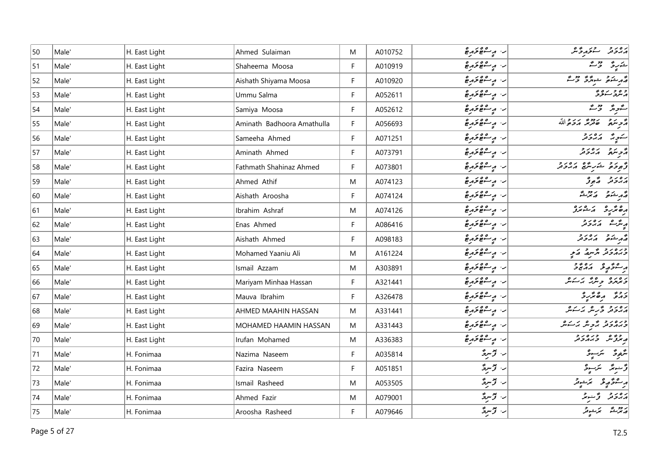| 50 | Male' | H. East Light | Ahmed Sulaiman             | M  | A010752 | $\begin{array}{cc} \circ & \circ & \circ \\ \circ & \circ & \circ \end{array} \begin{array}{cc} \circ & \circ & \circ \\ \circ & \circ & \circ \end{array}$ | رەرد ھۆرگە                                   |
|----|-------|---------------|----------------------------|----|---------|-------------------------------------------------------------------------------------------------------------------------------------------------------------|----------------------------------------------|
| 51 | Male' | H. East Light | Shaheema Moosa             | F. | A010919 | $ \frac{1}{2}$                                                                                                                                              | شریر وقت                                     |
| 52 | Male' | H. East Light | Aishath Shiyama Moosa      | F  | A010920 | ر به مشورخ دره                                                                                                                                              |                                              |
| 53 | Male' | H. East Light | Ummu Salma                 | F  | A052611 | ر. رحوع ذريع                                                                                                                                                | چە چە سەھ بىر                                |
| 54 | Male' | H. East Light | Samiya Moosa               | F  | A052612 | ر به مشور خرج                                                                                                                                               | سەمەيە ئەسە                                  |
| 55 | Male' | H. East Light | Aminath Badhoora Amathulla | F  | A056693 | ر. رحيح ترريح                                                                                                                                               | وتحريره المردور الله الله                    |
| 56 | Male' | H. East Light | Sameeha Ahmed              | F  | A071251 |                                                                                                                                                             | سكوپە كەبروتر                                |
| 57 | Male' | H. East Light | Aminath Ahmed              | F  | A073791 | ر به مشقوقه ق                                                                                                                                               | ومردوح ومردوحر                               |
| 58 | Male' | H. East Light | Fathmath Shahinaz Ahmed    | F. | A073801 | 2.3820                                                                                                                                                      | وتجوحكم كمشرشع متحدد                         |
| 59 | Male' | H. East Light | Ahmed Athif                | M  | A074123 | ر. ريا هو محمد ه                                                                                                                                            | د ه د چې د کمبونو                            |
| 60 | Male' | H. East Light | Aishath Aroosha            | F  | A074124 | ر به مشقوقها                                                                                                                                                | أمر والمستوفي المركز والمحر والشو            |
| 61 | Male' | H. East Light | Ibrahim Ashraf             | M  | A074126 | ر. ريام عرض                                                                                                                                                 | رەپرىر كەشىر                                 |
| 62 | Male' | H. East Light | Enas Ahmed                 | F  | A086416 | ر به مشهوره                                                                                                                                                 | ارېتر شه کړه د د                             |
| 63 | Male' | H. East Light | Aishath Ahmed              | F  | A098183 | ر به مشورخ دره                                                                                                                                              | وكرمشتمو وكرور                               |
| 64 | Male' | H. East Light | Mohamed Yaaniu Ali         | M  | A161224 | ر. بر عوضه                                                                                                                                                  | ورەرو شرمە كەب                               |
| 65 | Male' | H. East Light | Ismail Azzam               | M  | A303891 |                                                                                                                                                             |                                              |
| 66 | Male' | H. East Light | Mariyam Minhaa Hassan      | F  | A321441 | ر. رحوع ذريع                                                                                                                                                | وبروو وترثه برسكر                            |
| 67 | Male' | H. East Light | Mauva Ibrahim              | F. | A326478 | ر و سوء دره                                                                                                                                                 |                                              |
| 68 | Male' | H. East Light | AHMED MAAHIN HASSAN        | M  | A331441 | - ریاس اور مع                                                                                                                                               | رور و محر ه بر کند                           |
| 69 | Male' | H. East Light | MOHAMED HAAMIN HASSAN      | M  | A331443 | $\frac{1}{2}$                                                                                                                                               | בגם גביים הבית האותיות<br>בהמכת הבית האותיות |
| 70 | Male' | H. East Light | Irufan Mohamed             | M  | A336383 | $\begin{array}{cc} \circ & \circ & \circ \\ \circ & \circ & \circ \end{array}$                                                                              | و ده و دره د و                               |
| 71 | Male' | H. Fonimaa    | Nazima Naseem              | F  | A035814 | ر. تؤسرچٌ                                                                                                                                                   | سَّمْوِدَّ سَرَ-وِدْ                         |
| 72 | Male' | H. Fonimaa    | Fazira Naseem              | F  | A051851 | ر، ۆسرچ                                                                                                                                                     | ۇسىد ئىرلىدۇ                                 |
| 73 | Male' | H. Fonimaa    | Ismail Rasheed             | M  | A053505 | ر، ۆتىرچ                                                                                                                                                    | رەم ئەركى ئىشىر<br>ئىس ئىس ئىسىم             |
| 74 | Male' | H. Fonimaa    | Ahmed Fazir                | M  | A079001 | ر. تۇمبرگە                                                                                                                                                  | رەرد ئۇسىر                                   |
| 75 | Male' | H. Fonimaa    | Aroosha Rasheed            | F  | A079646 | ر. تۆسرگە                                                                                                                                                   | پر دو مئے<br>  پر پر مئے میں پر پر دور       |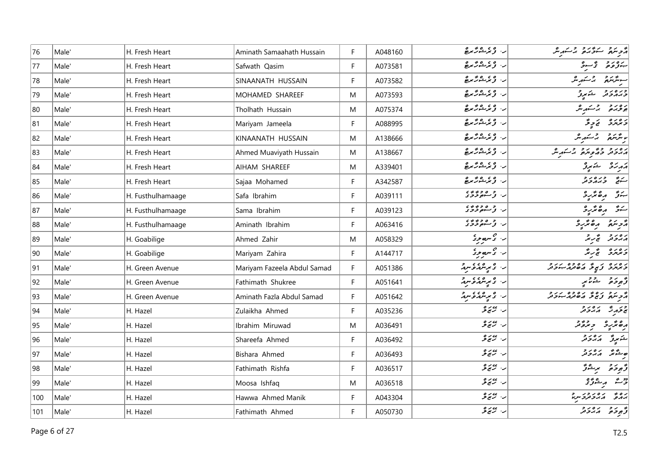| 76  | Male' | H. Fresh Heart    | Aminath Samaahath Hussain   | F         | A048160 | ر. وترشر ترجع                        | أأدينهم سودره ومنهر                                                                                  |
|-----|-------|-------------------|-----------------------------|-----------|---------|--------------------------------------|------------------------------------------------------------------------------------------------------|
| 77  | Male' | H. Fresh Heart    | Safwath Qasim               | F         | A073581 | ر. وترڪر تريح                        | يەۋرە ئۇسۇ                                                                                           |
| 78  | Male' | H. Fresh Heart    | SINAANATH HUSSAIN           | F         | A073582 | ر. وترشرتر برمج                      | سىتكرىق بركسكرىكر                                                                                    |
| 79  | Male' | H. Fresh Heart    | MOHAMED SHAREEF             | M         | A073593 | ر. ۇېزىشرىرىھ                        | ورەر د شەرد                                                                                          |
| 80  | Male' | H. Fresh Heart    | Tholhath Hussain            | M         | A075374 | ر. وترشرتر پرچ                       | برەرد برسكه ش                                                                                        |
| 81  | Male' | H. Fresh Heart    | Mariyam Jameela             | F         | A088995 | ر. ۋېزىشەر ئىرغ                      | رەرە يەر                                                                                             |
| 82  | Male' | H. Fresh Heart    | KINAANATH HUSSAIN           | M         | A138666 | ر. وترشر تربيع                       |                                                                                                      |
| 83  | Male' | H. Fresh Heart    | Ahmed Muaviyath Hussain     | ${\sf M}$ | A138667 | ر . ۇ ئرىشەر ئىرغ                    | גם גב כמקום גביתית                                                                                   |
| 84  | Male' | H. Fresh Heart    | AIHAM SHAREEF               | ${\sf M}$ | A339401 | ر. ۇ ئرىشەرگىرى                      | پرېرو شوېږو                                                                                          |
| 85  | Male' | H. Fresh Heart    | Sajaa Mohamed               | F         | A342587 | ر. ۇېزىشرىرىھ                        | ر د دره د د                                                                                          |
| 86  | Male' | H. Fusthulhamaage | Safa Ibrahim                | F         | A039111 |                                      | بنوته مقترح                                                                                          |
| 87  | Male' | H. Fusthulhamaage | Sama Ibrahim                | F         | A039123 |                                      |                                                                                                      |
| 88  | Male' | H. Fusthulhamaage | Aminath Ibrahim             | F         | A063416 | ر و و و و و د و<br>ر . تو کستونو و ی | أأدوسم المتحديدة                                                                                     |
| 89  | Male' | H. Goabilige      | Ahmed Zahir                 | ${\sf M}$ | A058329 | ה ליינס בל                           | أرور و حي بر                                                                                         |
| 90  | Male' | H. Goabilige      | Mariyam Zahira              | F         | A144717 | ה ליינסיקל                           | رەرە ئەرگە                                                                                           |
| 91  | Male' | H. Green Avenue   | Mariyam Fazeela Abdul Samad | F         | A051386 | ر. و پرسرگروس                        | ן 2010 צ'ת הסיפס הנב                                                                                 |
| 92  | Male' | H. Green Avenue   | Fathimath Shukree           | F         | A051641 | ر. و پرسمدوسمد                       | تۇپوخۇ ھەممىي                                                                                        |
| 93  | Male' | H. Green Avenue   | Aminath Fazla Abdul Samad   | F         | A051642 | ر. و پرسمدوسد                        |                                                                                                      |
| 94  | Male' | H. Hazel          | Zulaikha Ahmed              | F         | A035236 | ر بيمبره<br>ر گريخ گر                | ج ځمر شه پر پر د تر                                                                                  |
| 95  | Male' | H. Hazel          | Ibrahim Miruwad             | M         | A036491 | ر. مىمىمى                            | رە ئەر ئەر ئەر                                                                                       |
| 96  | Male' | H. Hazel          | Shareefa Ahmed              | F         | A036492 | ر. مىم دە                            | شهروٌ 1975م                                                                                          |
| 97  | Male' | H. Hazel          | Bishara Ahmed               | F         | A036493 | ر بيمبره<br>ر گنجو                   | صشوش برەر د                                                                                          |
| 98  | Male' | H. Hazel          | Fathimath Rishfa            | F         | A036517 | ر. مىيى بى                           | أوالمجافرة والمحمد المحمدة والمحمدة والمحمدة والمحمدة وتحمد والمحمدة والمحمدة والمحمدة والمحمدة والم |
| 99  | Male' | H. Hazel          | Moosa Ishfaq                | M         | A036518 | ر. مىمىمى                            | تژمے پرے دی                                                                                          |
| 100 | Male' | H. Hazel          | Hawwa Ahmed Manik           | F         | A043304 | ر. مىيى بى                           | גפש גפני בני                                                                                         |
| 101 | Male' | H. Hazel          | Fathimath Ahmed             | F         | A050730 | ر. مىيى بى                           | تو ده د ده د و                                                                                       |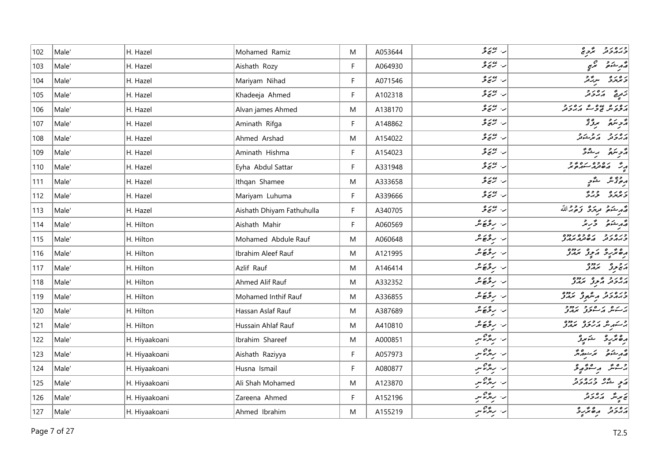| 102 | Male' | H. Hazel      | Mohamed Ramiz             | M           | A053644 | ر. میم و        | برٌ پر م<br>و ره ر و<br><i>و بر</i> پر تر                                                                                                                                  |
|-----|-------|---------------|---------------------------|-------------|---------|-----------------|----------------------------------------------------------------------------------------------------------------------------------------------------------------------------|
| 103 | Male' | H. Hazel      | Aishath Rozy              | F.          | A064930 | ر. میموگی       | لمجمر ينسوهم                                                                                                                                                               |
| 104 | Male' | H. Hazel      | Mariyam Nihad             | $\mathsf F$ | A071546 | ر. میم و        | ر ه ر ه<br>د <del>ب</del> ربرگ<br>سرچمر                                                                                                                                    |
| 105 | Male' | H. Hazel      | Khadeeja Ahmed            | F           | A102318 | ر. ئەينى بى     | تزميدة متركز و حر                                                                                                                                                          |
| 106 | Male' | H. Hazel      | Alvan james Ahmed         | M           | A138170 | ر. میم و        | رەر ەي ەە مەردەرد                                                                                                                                                          |
| 107 | Male' | H. Hazel      | Aminath Rifga             | $\mathsf F$ | A148862 | ر. میموگی       | أأوسكم بروتم                                                                                                                                                               |
| 108 | Male' | H. Hazel      | Ahmed Arshad              | M           | A154022 | ر. تزیخ بی      | رەرو رورو                                                                                                                                                                  |
| 109 | Male' | H. Hazel      | Aminath Hishma            | F           | A154023 | ر. میمرو        | أأروبتهم برشوش                                                                                                                                                             |
| 110 | Male' | H. Hazel      | Eyha Abdul Sattar         | F           | A331948 | ر. میموگی       | 2201 0201 21                                                                                                                                                               |
| 111 | Male' | H. Hazel      | Ithgan Shamee             | M           | A333658 | ر. میمرو        | أرەتچىش ھەر                                                                                                                                                                |
| 112 | Male' | H. Hazel      | Mariyam Luhuma            | F           | A339666 | ر. میموگر       | ره ره وده<br>د پرسر ورو                                                                                                                                                    |
| 113 | Male' | H. Hazel      | Aishath Dhiyam Fathuhulla | $\mathsf F$ | A340705 | ر. می ده.       | ومرشوم مرمره وحرجه الله                                                                                                                                                    |
| 114 | Male' | H. Hilton     | Aishath Mahir             | F           | A060569 | ر. روْءَ تْر    | وكروشكا والمراجر                                                                                                                                                           |
| 115 | Male' | H. Hilton     | Mohamed Abdule Rauf       | M           | A060648 | ر. رِوْءَ تَرْ  | 0 10 10 10 10 10 10<br>C 2 12 12 12 12 13 14 14 15                                                                                                                         |
| 116 | Male' | H. Hilton     | Ibrahim Aleef Rauf        | M           | A121995 | ر ، رِوْءَ تَرْ | ارەتمەر 3 مۇق ئىمەد                                                                                                                                                        |
| 117 | Male' | H. Hilton     | Azlif Rauf                | ${\sf M}$   | A146414 | ار. روي         | ג כ כ הכנס<br>הא ב 3 אות                                                                                                                                                   |
| 118 | Male' | H. Hilton     | Ahmed Alif Rauf           | M           | A332352 | ر. روْءَ ش      | גפגב הציק גדום                                                                                                                                                             |
| 119 | Male' | H. Hilton     | Mohamed Inthif Rauf       | M           | A336855 | ر. رِوْءَ تَرُ  | כנסגב תיתפר זהבר                                                                                                                                                           |
| 120 | Male' | H. Hilton     | Hassan Aslaf Rauf         | M           | A387689 | ار. روي پر      | ر کے مرکز دور دور<br>رکائیں مرکز دور                                                                                                                                       |
| 121 | Male' | H. Hilton     | Hussain Ahlaf Rauf        | M           | A410810 |                 | ج سکه شرکت مرکز در محمدو                                                                                                                                                   |
| 122 | Male' | H. Hiyaakoani | Ibrahim Shareef           | M           | A000851 | ر، روژنامبر     | رە ئەر ئىسىر                                                                                                                                                               |
| 123 | Male' | H. Hiyaakoani | Aishath Raziyya           | F           | A057973 | ر، روژنامبر     | $\begin{array}{cc} \mathcal{L}_{\mathcal{A}} & \mathcal{L}_{\mathcal{A}} \\ \mathcal{L}_{\mathcal{A}} & \mathcal{L}_{\mathcal{A}} & \mathcal{L}_{\mathcal{A}} \end{array}$ |
| 124 | Male' | H. Hiyaakoani | Husna Ismail              | F           | A080877 | ر، روژنامبر     | برعشر برعتمونه                                                                                                                                                             |
| 125 | Male' | H. Hiyaakoani | Ali Shah Mohamed          | M           | A123870 | ر. روژنامبر     | أيرمي مشرح وبره برو                                                                                                                                                        |
| 126 | Male' | H. Hiyaakoani | Zareena Ahmed             | F           | A152196 | ر، روژنامبر     | كي مرينگر كم برج تر                                                                                                                                                        |
| 127 | Male' | H. Hiyaakoani | Ahmed Ibrahim             | M           | A155219 | ر، روژنامبر     | גם גם הפיתים                                                                                                                                                               |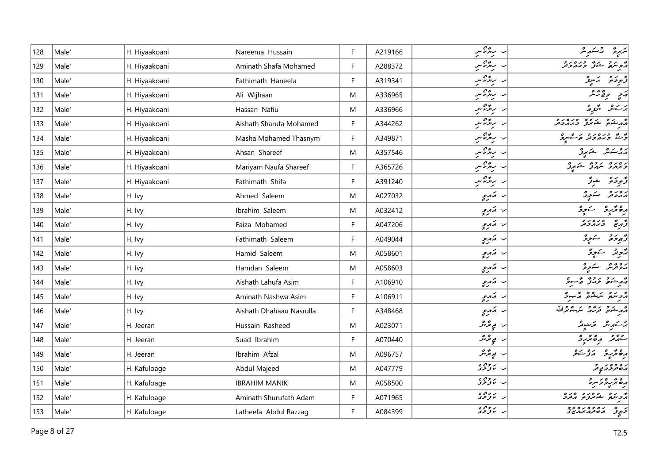| 128 | Male' | H. Hiyaakoani | Nareema Hussain          | F  | A219166 | ار. رېژنگېنې<br>—        | شهرة المستورشر                          |
|-----|-------|---------------|--------------------------|----|---------|--------------------------|-----------------------------------------|
| 129 | Male' | H. Hiyaakoani | Aminath Shafa Mohamed    | F  | A288372 | ر، روژنامبر              | م تر و در ورور و                        |
| 130 | Male' | H. Hiyaakoani | Fathimath Haneefa        | F  | A319341 | ر بەرگەنلەر              | قوقرة بمبرقه                            |
| 131 | Male' | H. Hiyaakoani | Ali Wijhaan              | M  | A336965 | ر. روژنمبر               | ړې وقځ شر                               |
| 132 | Male' | H. Hiyaakoani | Hassan Nafiu             | M  | A336966 | ر به بروژنمبر            | ىز سىر ئىس ئىر ئى                       |
| 133 | Male' | H. Hiyaakoani | Aishath Sharufa Mohamed  | F  | A344262 | ر، روژنامبر              | و دره در در دره در در د                 |
| 134 | Male' | H. Hiyaakoani | Masha Mohamed Thasnym    | F  | A349871 | ر، رېژنگېېو              |                                         |
| 135 | Male' | H. Hiyaakoani | Ahsan Shareef            | M  | A357546 | ل بهره میر               | أرجاح يتمرو                             |
| 136 | Male' | H. Hiyaakoani | Mariyam Naufa Shareef    | F  | A365726 | ر به بروغ مبر            |                                         |
| 137 | Male' | H. Hiyaakoani | Fathimath Shifa          | F  | A391240 | ر. رېژنگېنېر             | قرم وترقيب والمحر                       |
| 138 | Male' | H. Ivy        | Ahmed Saleem             | M  | A027032 | $\overline{\mathcal{L}}$ | پرونډ کرونې                             |
| 139 | Male' | H. Ivy        | Ibrahim Saleem           | M  | A032412 | ر . مکه ه<br>د           | أرەنزىر ئىرو                            |
| 140 | Male' | H. Ivy        | Faiza Mohamed            | F  | A047206 | ابن وزوج                 | و دره دره                               |
| 141 | Male' | H. Ivy        | Fathimath Saleem         | F  | A049044 | ر. مەدە                  | وتجوحكم سكوي                            |
| 142 | Male' | H. Ivy        | Hamid Saleem             | M  | A058601 | ر. دژه و                 | پژونژ   سکوچو                           |
| 143 | Male' | H. Ivy        | Hamdan Saleem            | M  | A058603 | اب و کاره<br>د           | برەپ ئەرو                               |
| 144 | Male' | H. Ivy        | Aishath Lahufa Asim      | F  | A106910 | ر آمده<br>را آمده        | وأرشاه ورود والمسوح                     |
| 145 | Male' | H. Ivy        | Aminath Nashwa Asim      | F  | A106911 | اب اړه وه                | أأوسم سكوا أأسود                        |
| 146 | Male' | H. Ivy        | Aishath Dhahaau Nasrulla | F. | A348468 | $\overline{\mathcal{L}}$ | وحرشوم مروم ترجعهالله                   |
| 147 | Male' | H. Jeeran     | Hussain Rasheed          | M  | A023071 | ر.   مړيگر               | 2سكەرىش - ئىشىشى                        |
| 148 | Male' | H. Jeeran     | Suad Ibrahim             | F  | A070440 | ر. م <sub>و</sub> تژىژ   | دود دەترىرد                             |
| 149 | Male' | H. Jeeran     | Ibrahim Afzal            | M  | A096757 | ر. مٍ مُرْسْ             | أرەپۇر ئەربۇ                            |
| 150 | Male' | H. Kafuloage  | Abdul Majeed             | M  | A047779 | ر . روه ،                | ر 2 تر 2 تر تر تر<br>مان قىر تر كى تىر  |
| 151 | Male' | H. Kafuloage  | <b>IBRAHIM MANIK</b>     | M  | A058500 | ر . روه ،<br>ر . ماتونور | ە ھەترىر 2 كەسرىر<br>ر                  |
| 152 | Male' | H. Kafuloage  | Aminath Shurufath Adam   | F  | A071965 | ر . روه ،<br>ر . ماونوی  | ه در د د در د دره<br>در سره شمرزه د ترد |
| 153 | Male' | H. Kafuloage  | Latheefa Abdul Razzag    | F  | A084399 | ر . روه ،<br>ر . ماونوی  | كرو دە دەرەپر <del>ە</del>              |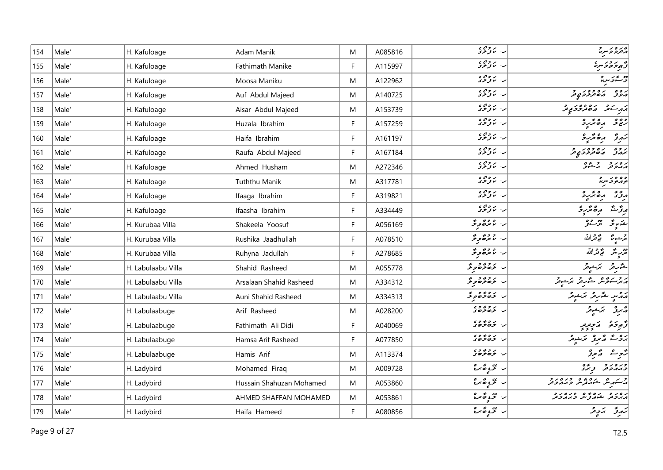| 154 | Male' | H. Kafuloage       | <b>Adam Manik</b>            | M           | A085816 | ر. روه ه<br>ر. ماووی           | پر ده ر<br>پر تر ژکسرین                                                                                                                                                                                                        |
|-----|-------|--------------------|------------------------------|-------------|---------|--------------------------------|--------------------------------------------------------------------------------------------------------------------------------------------------------------------------------------------------------------------------------|
| 155 | Male' | H. Kafuloage       | Fathimath Manike             | F           | A115997 | ر . روه ،<br>ر . ماؤنوی        | ۇ ب <sub>ە</sub> جۇ ئەزىكى<br>ئ                                                                                                                                                                                                |
| 156 | Male' | H. Kafuloage       | Moosa Maniku                 | M           | A122962 | ر . روه ،<br>ر . ماتونوی       | أوسير                                                                                                                                                                                                                          |
| 157 | Male' | H. Kafuloage       | Auf Abdul Majeed             | M           | A140725 | ر، ئاتۇنجى                     | رەە رەدەر د<br>مەن مەھىر دى                                                                                                                                                                                                    |
| 158 | Male' | H. Kafuloage       | Aisar Abdul Majeed           | M           | A153739 | ر . روه ،<br>ر . ماؤنوی        | ג'ו היב גם כם הב                                                                                                                                                                                                               |
| 159 | Male' | H. Kafuloage       | Huzala Ibrahim               | $\mathsf F$ | A157259 | ر. روه ه<br>ر. ماووی           |                                                                                                                                                                                                                                |
| 160 | Male' | H. Kafuloage       | Haifa Ibrahim                | F           | A161197 | ر . روه ،<br>ر . روو           | ەرھ ئ <sup>ۆ</sup> ر ۋ<br>تەرىخ                                                                                                                                                                                                |
| 161 | Male' | H. Kafuloage       | Raufa Abdul Majeed           | F           | A167184 | ر . روه ،<br>ر . ماونوی        | ر ۵ و و د ر و<br>پرې تر بو تر تو تر<br>ر و د<br>بروگ                                                                                                                                                                           |
| 162 | Male' | H. Kafuloage       | Ahmed Husham                 | M           | A272346 | ر . روه ،<br>ر . ماؤنوی        | رەر دېمو                                                                                                                                                                                                                       |
| 163 | Male' | H. Kafuloage       | <b>Tuththu Manik</b>         | M           | A317781 | ر . روه ،<br>ر . ماؤنوی        | כם כן<br>ס <i>בו ס</i> ב ייקול                                                                                                                                                                                                 |
| 164 | Male' | H. Kafuloage       | Ifaaga Ibrahim               | F           | A319821 | ر بەدە ئە<br>رسىم توخرى        | پر پیچے<br>مرقر <sub>م</sub> ح<br>ەرھ ئۆر ۋ                                                                                                                                                                                    |
| 165 | Male' | H. Kafuloage       | Ifaasha Ibrahim              | F           | A334449 | ر . روه ،<br>ر . ماؤنوی        | ڔۿؠڒڕۯ<br>ورژٌے                                                                                                                                                                                                                |
| 166 | Male' | H. Kurubaa Villa   | Shakeela Yoosuf              | F           | A056169 | ر. دو ده و څ                   | ىشەرىقى<br>سىرىم<br>ېږد وه                                                                                                                                                                                                     |
| 167 | Male' | H. Kurubaa Villa   | Rushika Jaadhullah           | $\mathsf F$ | A078510 | ر. بۇ دەپمۇ                    | تر<br>مرسورتم<br>قحة فخرالله                                                                                                                                                                                                   |
| 168 | Male' | H. Kurubaa Villa   | Ruhyna Jadullah              | F           | A278685 | ر. روده و څه                   | جربر مكر قوقرالله                                                                                                                                                                                                              |
| 169 | Male' | H. Labulaabu Villa | Shahid Rasheed               | M           | A055778 | ر زەۋەرۇ                       | شگرىر كرىشونر                                                                                                                                                                                                                  |
| 170 | Male' | H. Labulaabu Villa | Arsalaan Shahid Rasheed      | M           | A334312 | ر . ئۇ <i>ھۇھ</i> بۇ           | ر و گوگل گردگر برشود<br>معرکوگل گردگر برگو                                                                                                                                                                                     |
| 171 | Male' | H. Labulaabu Villa | Auni Shahid Rasheed          | M           | A334313 | ر، ئۇھۇھۇئ                     | ر<br>پرېښ څرنگر ټرغون                                                                                                                                                                                                          |
| 172 | Male' | H. Labulaabuge     | Arif Rasheed                 | M           | A028200 | ر کوهنگوری<br>ر کوهنگوری       | ەمرۇ مۇھەم                                                                                                                                                                                                                     |
| 173 | Male' | H. Labulaabuge     | Fathimath Ali Didi           | $\mathsf F$ | A040069 | ر و و و و و<br>ر . نوگانوگان و | تو ديگر ديگر ديگر<br>تو ديگر ديگر ديگر<br>پروگر ديگرن برخونه                                                                                                                                                                   |
| 174 | Male' | H. Labulaabuge     | Hamsa Arif Rasheed           | $\mathsf F$ | A077850 | ر و و و و و<br>ر . نوگانوگان و |                                                                                                                                                                                                                                |
| 175 | Male' | H. Labulaabuge     | Hamis Arif                   | M           | A113374 | ر کرده ده<br>ر کره گره د       | رحمد ويحمد والمحمد والمحمد والمحمد والمحمد والمحمد والمحمد والمحمد والمحمد والمحمد والمحمد والمحمد والمحمد والمحمد والمحمد والمحمد والمحمد والمحمد والمحمد والمحمد والمحمد والمحمد والمحمد والمحمد والمحمد والمحمد والمحمد وال |
| 176 | Male' | H. Ladybird        | Mohamed Firaq                | M           | A009728 | ر، عج ۽ صَّعر ۽                | ورەرو پەر                                                                                                                                                                                                                      |
| 177 | Male' | H. Ladybird        | Hussain Shahuzan Mohamed     | M           | A053860 | ر، ئۇ دەھمدە                   | و کرم شهر شوره در در د<br>بر کرم شهر فرمس و بر مرو تر                                                                                                                                                                          |
| 178 | Male' | H. Ladybird        | <b>AHMED SHAFFAN MOHAMED</b> | M           | A053861 | ر، عج ۽ صَّعر ۽                | ره رو دره به وره رو<br>مردونر شهرتر در رونر                                                                                                                                                                                    |
| 179 | Male' | H. Ladybird        | Haifa Hameed                 | F           | A080856 | ر، عَرْبِهِ صَمَّدْ            | تەرۇ   ئەچەقە                                                                                                                                                                                                                  |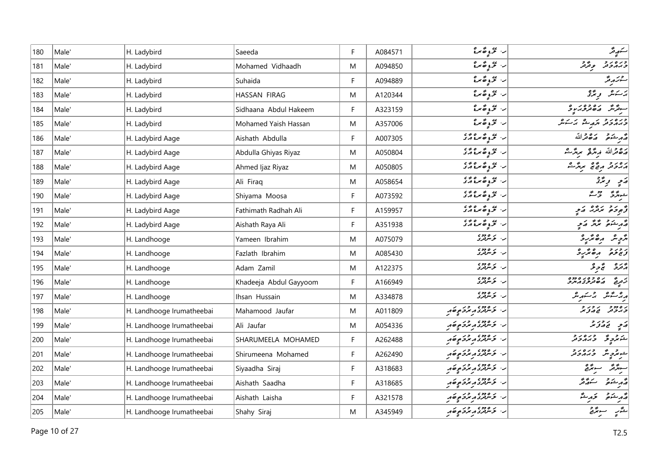| 180 | Male' | H. Ladybird               | Saeeda                 | F         | A084571 | ر، عجزه گامره                                   | سە پەرتىر                                              |
|-----|-------|---------------------------|------------------------|-----------|---------|-------------------------------------------------|--------------------------------------------------------|
| 181 | Male' | H. Ladybird               | Mohamed Vidhaadh       | M         | A094850 | ر، ځوه ځونده                                    | <i>دېر دې</i> ر د<br>و ترگر<br>ح                       |
| 182 | Male' | H. Ladybird               | Suhaida                | F         | A094889 | ر. ٷ ۽ ھُ مر،                                   | سنمر مر مگر                                            |
| 183 | Male' | H. Ladybird               | HASSAN FIRAG           | M         | A120344 | ر، عَزَهِ صَّعرهْ                               | برسە بىر بويىز ئو                                      |
| 184 | Male' | H. Ladybird               | Sidhaana Abdul Hakeem  | F         | A323159 | ر، عَرْبِهِ صَمَّدٍ                             | سوتر شهره ده وه در ره<br>بر                            |
| 185 | Male' | H. Ladybird               | Mohamed Yaish Hassan   | M         | A357006 | ر، عَزَهِ صَّعرهِ ٛ                             | ورەرو رەپىش ئەسكىر                                     |
| 186 | Male' | H. Ladybird Aage          | Aishath Abdulla        | F         | A007305 | ر. عوّ و ځېږه ده د<br>ر                         | صمر يحتمد صناعتها                                      |
| 187 | Male' | H. Ladybird Aage          | Abdulla Ghiyas Riyaz   | M         | A050804 | ر. ٷوەً پرە دې                                  | رە قەللە مەرگە مەرگە                                   |
| 188 | Male' | H. Ladybird Aage          | Ahmed Ijaz Riyaz       | M         | A050805 | 51250                                           | أزور والملح برائز                                      |
| 189 | Male' | H. Ladybird Aage          | Ali Firaq              | M         | A058654 | ر. ٷ ۽ ھُ پره وي                                | أتذمي ويتزقه                                           |
| 190 | Male' | H. Ladybird Aage          | Shiyama Moosa          | F         | A073592 | ر. ٷ ۽ ھُ مرہ دي                                | شەرگە ئۇڭ                                              |
| 191 | Male' | H. Ladybird Aage          | Fathimath Radhah Ali   | F.        | A159957 | ر. ٷ ۽ ھُ مرہ دي                                | ژوده نرترژ ړې                                          |
| 192 | Male' | H. Ladybird Aage          | Aishath Raya Ali       | F         | A351938 | 51222222                                        | ړ د ده په دې                                           |
| 193 | Male' | H. Landhooge              | Yameen Ibrahim         | M         | A075079 | ر. نومبروج<br>ر. نومبروژ                        | وحياها والمتحرجة                                       |
| 194 | Male' | H. Landhooge              | Fazlath Ibrahim        | M         | A085430 |                                                 | أزور وه مدرد                                           |
| 195 | Male' | H. Landhooge              | Adam Zamil             | M         | A122375 |                                                 | پره پ <sub>چ</sub> ونې                                 |
| 196 | Male' | H. Landhooge              | Khadeeja Abdul Gayyoom | F         | A166949 |                                                 | بر ده ده ده ده ده<br>نردنج ماه مرد در در               |
| 197 | Male' | H. Landhooge              | Ihsan Hussain          | M         | A334878 |                                                 | مەشقىر بۇ شەرش                                         |
| 198 | Male' | H. Landhooge Irumatheebai | Mahamood Jaufar        | M         | A011809 | ر و دوی و در هم                                 | נ סמכ כי גיב.<br>כגב ע ב ב ב ב                         |
| 199 | Male' | H. Landhooge Irumatheebai | Ali Jaufar             | M         | A054336 | ومردر و در ورځ و                                | $\begin{vmatrix} 2 & 2 & 2 \\ 2 & 3 & 2 \end{vmatrix}$ |
| 200 | Male' | H. Landhooge Irumatheebai | SHARUMEELA MOHAMED     | F         | A262488 |                                                 | شرور وبره د و                                          |
| 201 | Male' | H. Landhooge Irumatheebai | Shirumeena Mohamed     | F.        | A262490 | ومردر و در ورځ و                                | جوهر وره در                                            |
| 202 | Male' | H. Landhooge Irumatheebai | Siyaadha Siraj         | F         | A318683 | ر و ووی ور<br>ر نوش در مرد و هم                 | سەدۇر<br>سىدىقى                                        |
| 203 | Male' | H. Landhooge Irumatheebai | Aishath Saadha         | F         | A318685 | ومردر و در ورځ و                                | وگەرىشوم كەرگە                                         |
| 204 | Male' | H. Landhooge Irumatheebai | Aishath Laisha         | F         | A321578 | ر و دوی و در مقرم کرد.<br>د افزاد مقرم موضع کرد | أقهر شدة وكريثة                                        |
| 205 | Male' | H. Landhooge Irumatheebai | Shahy Siraj            | ${\sf M}$ | A345949 |                                                 | هُمْرٍ سوبرٌ مِ                                        |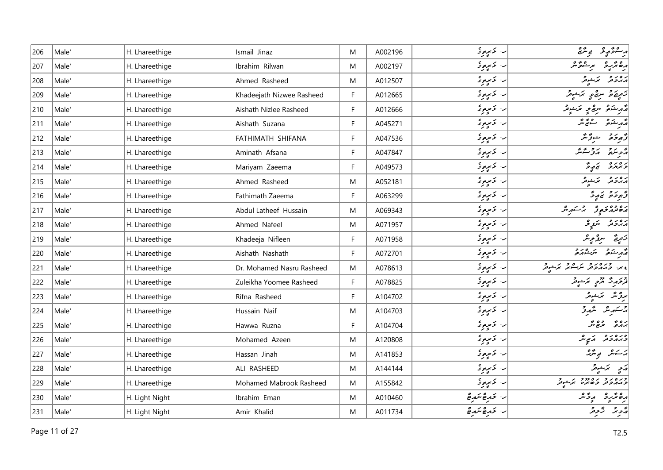| 206 | Male' | H. Lhareethige | Ismail Jinaz              | ${\sf M}$ | A002196 |                              | أبر ستتخريب فمحمد ويتزيح                                                                                                                                                                                                         |
|-----|-------|----------------|---------------------------|-----------|---------|------------------------------|----------------------------------------------------------------------------------------------------------------------------------------------------------------------------------------------------------------------------------|
| 207 | Male' | H. Lhareethige | Ibrahim Rilwan            | M         | A002197 | ر. ئۈمپەمۇتى<br>ئەر          |                                                                                                                                                                                                                                  |
| 208 | Male' | H. Lhareethige | Ahmed Rasheed             | ${\sf M}$ | A012507 | ر. که موجود<br>م             |                                                                                                                                                                                                                                  |
| 209 | Male' | H. Lhareethige | Khadeejath Nizwee Rasheed | F         | A012665 | ر. ئەمرە ئ                   | تكريكم أورام المتحمد المراجع                                                                                                                                                                                                     |
| 210 | Male' | H. Lhareethige | Aishath Nizlee Rasheed    | F         | A012666 | ر، کو هره وگا<br>کار         | و<br>وگر شود سرچ پر شور                                                                                                                                                                                                          |
| 211 | Male' | H. Lhareethige | Aishath Suzana            | F         | A045271 | ر، ئەبىرە ئ                  | م شهر دوره<br>م شهره مستوس                                                                                                                                                                                                       |
| 212 | Male' | H. Lhareethige | FATHIMATH SHIFANA         | F         | A047536 | ر، ئۈمپرە ئ                  | ۇ بوڭ ھۇتىر                                                                                                                                                                                                                      |
| 213 | Male' | H. Lhareethige | Aminath Afsana            | F         | A047847 | ر. که موجو <sup>ی</sup><br>م | أأروبتهم أأزقته                                                                                                                                                                                                                  |
| 214 | Male' | H. Lhareethige | Mariyam Zaeema            | F         | A049573 | ر. که موجود<br>م             | و مردو پر پر                                                                                                                                                                                                                     |
| 215 | Male' | H. Lhareethige | Ahmed Rasheed             | ${\sf M}$ | A052181 | ر.<br>ر. تزېږمونه            | أرجو ترجيع                                                                                                                                                                                                                       |
| 216 | Male' | H. Lhareethige | Fathimath Zaeema          | F         | A063299 | ر، کمه سره دی<br>تر په مر    |                                                                                                                                                                                                                                  |
| 217 | Male' | H. Lhareethige | Abdul Latheef Hussain     | ${\sf M}$ | A069343 | ر که توجوی<br>د که توسی      | , 2000 פיצוב הריות הריות היו בין היו היו בין היו בין היו בין היו בין היו בין היו בין היו בין היו בין היו בין ב<br>המוספות בין היו בין היו בין היו בין היו בין היו בין היו בין היו בין היו בין היו בין היו בין היו בין היו בין הי |
| 218 | Male' | H. Lhareethige | Ahmed Nafeel              | M         | A071957 | ر. کمه سرچ د<br>م            | رەرو سَرِوْ                                                                                                                                                                                                                      |
| 219 | Male' | H. Lhareethige | Khadeeja Nifleen          | F         | A071958 | ر، زېږه د                    | زَمِيعٌ سِرْمٍيْرٌ                                                                                                                                                                                                               |
| 220 | Male' | H. Lhareethige | Aishath Nashath           | F         | A072701 | ر، ئۈيرە ئ                   | أوار والمحمد المتوسر والمحمد والمحمد والمحمد والمحمد والمحمد والمحمد والمحمد والمحمد والمحمد والمحمد والمحمد و                                                                                                                   |
| 221 | Male' | H. Lhareethige | Dr. Mohamed Nasru Rasheed | ${\sf M}$ | A078613 | ر. عه سرجونه                 |                                                                                                                                                                                                                                  |
| 222 | Male' | H. Lhareethige | Zuleikha Yoomee Rasheed   | F         | A078825 | ر ، ئەمرە ئ                  | فرقرمر ثمر ترجيع                                                                                                                                                                                                                 |
| 223 | Male' | H. Lhareethige | Rifna Rasheed             | F         | A104702 | <br> - سکیږ <i>وی</i>        | ىرۇنىڭ ئىرىش <sub>و</sub> نى                                                                                                                                                                                                     |
| 224 | Male' | H. Lhareethige | Hussain Naif              | M         | A104703 | ر. ئۈمپەمۇتى<br>ئەر          | 2 سەر شەرقى ئىگەر <i>ۇ</i>                                                                                                                                                                                                       |
| 225 | Male' | H. Lhareethige | Hawwa Ruzna               | F         | A104704 | ر، ئۈسرە ئ                   | رەپە دەپ <sub>ە</sub>                                                                                                                                                                                                            |
| 226 | Male' | H. Lhareethige | Mohamed Azeen             | M         | A120808 | ر، ئەبرە ئ                   | ورەر د كې                                                                                                                                                                                                                        |
| 227 | Male' | H. Lhareethige | Hassan Jinah              | ${\sf M}$ | A141853 | ر، ئۈسرە ئ                   | يرسكس ي <sub>و</sub> سرَّة                                                                                                                                                                                                       |
| 228 | Male' | H. Lhareethige | ALI RASHEED               | ${\sf M}$ | A144144 | ر، ئۈمرە ئ<br>ئىسمىر         | أركمني المخرجين                                                                                                                                                                                                                  |
| 229 | Male' | H. Lhareethige | Mohamed Mabrook Rasheed   | M         | A155842 | ر، ئۈسرە ئ<br>ئ              | כנסגב גסמב גבוב<br>הממכת כסיניו ינייבת                                                                                                                                                                                           |
| 230 | Male' | H. Light Night | Ibrahim Eman              | M         | A010460 | ر. ځه څشمه                   | رەنزىر رۇپر                                                                                                                                                                                                                      |
| 231 | Male' | H. Light Night | Amir Khalid               | ${\sf M}$ | A011734 | ر بمركز و عكر ع              | أوجد تزوير                                                                                                                                                                                                                       |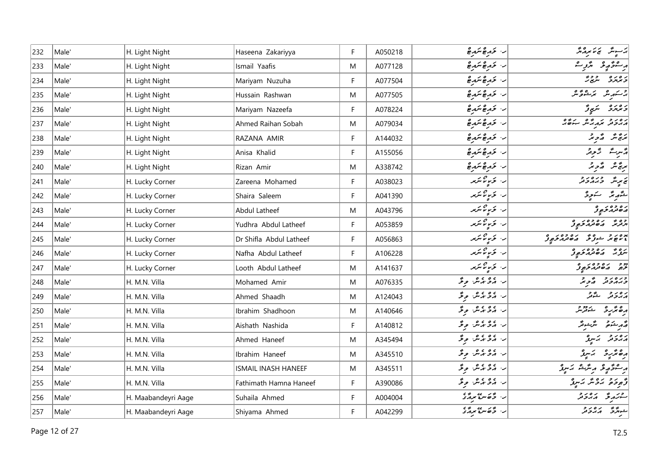| 232 | Male' | H. Light Night      | Haseena Zakariyya          | F         | A050218 | ر· خرم ه عكر هي       | ئەسىپىتىر ئىچ ئىرى <i>مىتى</i> ر                       |
|-----|-------|---------------------|----------------------------|-----------|---------|-----------------------|--------------------------------------------------------|
| 233 | Male' | H. Light Night      | Ismail Yaafis              | M         | A077128 | ر بمردع شريع          | برڪوڻپو پڙري                                           |
| 234 | Male' | H. Light Night      | Mariyam Nuzuha             | F         | A077504 | ر· خرم چ سَمبر ۾      | ر ه بر ه<br><del>د</del> بر بر و<br>پر پر محر<br>سرچ گ |
| 235 | Male' | H. Light Night      | Hussain Rashwan            | M         | A077505 | ر بمركز مكرم          | ىر شەھ بىر<br>ج <sub>ە</sub> سىمەر بىر                 |
| 236 | Male' | H. Light Night      | Mariyam Nazeefa            | F         | A078224 | ر بمردع شريع          | د ۱۵ د کریمو تر                                        |
| 237 | Male' | H. Light Night      | Ahmed Raihan Sobah         | M         | A079034 | ر· خرم ه عكر هي       | גם גב גבים הבס.<br>גגבת הגגית היסג                     |
| 238 | Male' | H. Light Night      | RAZANA AMIR                | F         | A144032 | ر كەرق سكرى           | ىر قىلىن ئەرىر                                         |
| 239 | Male' | H. Light Night      | Anisa Khalid               | F         | A155056 | $rac{1}{2}$           | ړٌسرت د محموقر                                         |
| 240 | Male' | H. Light Night      | Rizan Amir                 | ${\sf M}$ | A338742 | ر· خرم ه عكر هي       | بربج تكر الأحراني                                      |
| 241 | Male' | H. Lucky Corner     | Zareena Mohamed            | F         | A038023 | ر بە ئۇرەتمىلىرىد     | و ره ر د<br><i>د ب</i> رگرفر<br>ئج مېرىتىر             |
| 242 | Male' | H. Lucky Corner     | Shaira Saleem              | F         | A041390 | ر ، ئۇرەنمىتىر        | شەر ئىرو                                               |
| 243 | Male' | H. Lucky Corner     | Abdul Latheef              | M         | A043796 | ر، ئۇرىئايىتىلە       | ره ده در و<br>مصرم ترجو                                |
| 244 | Male' | H. Lucky Corner     | Yudhra Abdul Latheef       | F         | A053859 | ر ، ئۇرەنمىتىر        | وه پر ده وه در و                                       |
| 245 | Male' | H. Lucky Corner     | Dr Shifla Abdul Latheef    | F         | A056863 | ر. ئۇرىئايىتىلە       |                                                        |
| 246 | Male' | H. Lucky Corner     | Nafha Abdul Latheef        | F         | A106228 | ر بە ئۇرەتكىلىرىد     | رە ئەھەرمۇبور                                          |
| 247 | Male' | H. Lucky Corner     | Looth Abdul Latheef        | ${\sf M}$ | A141637 | ر، ئۇيەنكەتلەر        | מ כ כספים פ<br>כם השינות בפיצ                          |
| 248 | Male' | H. M.N. Villa       | Mohamed Amir               | M         | A076335 | ر. ، دو اړس وق        | 222 22012                                              |
| 249 | Male' | H. M.N. Villa       | Ahmed Shaadh               | M         | A124043 | ر. ، دو ، د ش ع څ     | رەرو ھەد                                               |
| 250 | Male' | H. M.N. Villa       | Ibrahim Shadhoon           | M         | A140646 | ر. ، دو ، د شه و څ    | شەقرىتر<br>ەرھەترىرى<br>ر                              |
| 251 | Male' | H. M.N. Villa       | Aishath Nashida            | F         | A140812 | ر. ، دو ، د تر ، و تر | ۇرىسكى گرىسوگر                                         |
| 252 | Male' | H. M.N. Villa       | Ahmed Haneef               | ${\sf M}$ | A345494 | ر. مەم بەر. بوڭ       | رەرد ئەرو                                              |
| 253 | Male' | H. M.N. Villa       | Ibrahim Haneef             | M         | A345510 | ر. 2018. جگه جگ       | رەتمەر ئەير                                            |
| 254 | Male' | H. M.N. Villa       | <b>ISMAIL INASH HANEEF</b> | M         | A345511 | ر. ، دو اړس وق        | ر موځو د مرسمه نه لر                                   |
| 255 | Male' | H. M.N. Villa       | Fathimath Hamna Haneef     | F         | A390086 | ر. ، دو اړس وق        | توجوحر بروتكر برس                                      |
| 256 | Male' | H. Maabandeyri Aage | Suhaila Ahmed              | F         | A004004 | $rac{1}{5}$           | ستربر ومجمد ورو                                        |
| 257 | Male' | H. Maabandeyri Aage | Shiyama Ahmed              | F         | A042299 | $\overbrace{S}$       | شەدىق كەردىر                                           |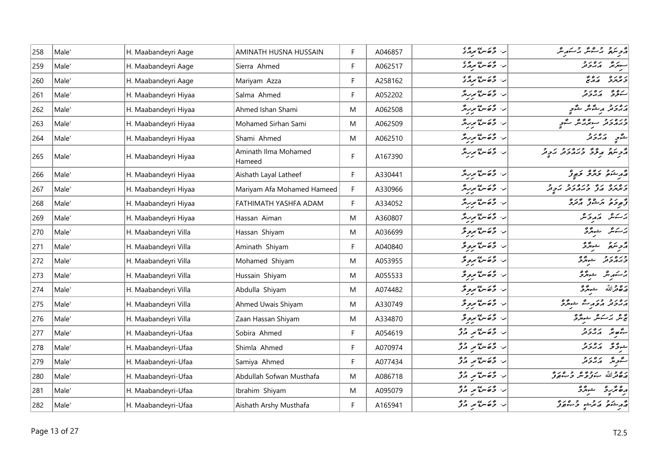| 258 | Male' | H. Maabandeyri Aage  | AMINATH HUSNA HUSSAIN          | F  | A046857 | ر په څوکمنځ مرمره                        | ۇ ئەسكە ئەسكەنگە ئەسكەنگە                       |
|-----|-------|----------------------|--------------------------------|----|---------|------------------------------------------|-------------------------------------------------|
| 259 | Male' | H. Maabandeyri Aage  | Sierra Ahmed                   | F  | A062517 | $\overleftrightarrow{\mathcal{S}}$       | پرور و<br>سىدىر                                 |
| 260 | Male' | H. Maabandeyri Aage  | Mariyam Azza                   | F  | A258162 | ر. ژەس ئەر                               | ر ه ر ه<br><del>و</del> بربرو<br>ر ه و<br>د د ج |
| 261 | Male' | H. Maabandeyri Hiyaa | Salma Ahmed                    | F. | A052202 | ر. ۋە ئىرىم برىد                         | بر 2 پر 15<br>مرکز 3 تو<br>سەۋۇ                 |
| 262 | Male' | H. Maabandeyri Hiyaa | Ahmed Ishan Shami              | M  | A062508 | ريد و ځه سره پر روگر<br>مرد او ځه سره بر | أرود و مشر مقو                                  |
| 263 | Male' | H. Maabandeyri Hiyaa | Mohamed Sirhan Sami            | M  | A062509 | ر و و صنع برابر                          | ورەرو سەردىكە ئەر                               |
| 264 | Male' | H. Maabandeyri Hiyaa | Shami Ahmed                    | M  | A062510 | ر. ژەستىرىد                              | شو درود                                         |
| 265 | Male' | H. Maabandeyri Hiyaa | Aminath Ilma Mohamed<br>Hameed | F  | A167390 | ر، جەھ سائىم برىد                        | أدوسي وبحرق ورود رود                            |
| 266 | Male' | H. Maabandeyri Hiyaa | Aishath Layal Latheef          | F  | A330441 | ر، ۇەس؟ برىرىد                           | أأرشاه والرو وأولى                              |
| 267 | Male' | H. Maabandeyri Hiyaa | Mariyam Afa Mohamed Hameed     | F. | A330966 | ر په څخه سنځ بر پر                       | ן פנס גם כנסנפ גבב                              |
| 268 | Male' | H. Maabandeyri Hiyaa | FATHIMATH YASHFA ADAM          | F. | A334052 | .<br>גי כבית בית ה                       | تحج و حرف محمده                                 |
| 269 | Male' | H. Maabandeyri Hiyaa | Hassan Aiman                   | M  | A360807 | 5.11                                     | بركته مركوش                                     |
| 270 | Male' | H. Maabandeyri Villa | Hassan Shiyam                  | M  | A036699 | ر. دۇمىيە ئىرونۇ                         | بركسكس كشورو                                    |
| 271 | Male' | H. Maabandeyri Villa | Aminath Shiyam                 | F  | A040840 | ر. دۇن بىر بور                           | أترجع وينتفر                                    |
| 272 | Male' | H. Maabandeyri Villa | Mohamed Shiyam                 | M  | A053955 | ر . ۇ ئەستا بىرە ۋ                       | ور ہ ر د<br>تر پر پر پر شوہری                   |
| 273 | Male' | H. Maabandeyri Villa | Hussain Shiyam                 | M  | A055533 | ر . ۇ ئەستىمبورۇ                         | أبر سكور مثل مشورد و المحمد المحمد              |
| 274 | Male' | H. Maabandeyri Villa | Abdulla Shiyam                 | M  | A074482 |                                          | أرة قرالله خورد                                 |
| 275 | Male' | H. Maabandeyri Villa | Ahmed Uwais Shiyam             | M  | A330749 | ر. ۇەستاپروڭر                            | رەرد در رەرے جەرگ                               |
| 276 | Male' | H. Maabandeyri Villa | Zaan Hassan Shiyam             | M  | A334870 | ر، ۇەستەبرە ۋ                            | چ م <i>گر برُ سکر مگر شورگر</i> گ               |
| 277 | Male' | H. Maabandeyri-Ufaa  | Sobira Ahmed                   | F  | A054619 | ر . ۇەستەبر مۇ                           | پژه پژ در د                                     |
| 278 | Male' | H. Maabandeyri-Ufaa  | Shimla Ahmed                   | F  | A070974 | ر. ۇەستەپر مۇ                            | شەرىخ كەردىر                                    |
| 279 | Male' | H. Maabandeyri-Ufaa  | Samiya Ahmed                   | F. | A077434 | ر . دەستاپر مۇ                           | شورش برەرو                                      |
| 280 | Male' | H. Maabandeyri-Ufaa  | Abdullah Sofwan Musthafa       | M  | A086718 | ر . ۇەستىر مۇ                            | رەۋاللە بەدەرە دەرە                             |
| 281 | Male' | H. Maabandeyri-Ufaa  | Ibrahim Shiyam                 | M  | A095079 | سا ئۇھ سائامىيە مەتر                     | رە ئەر ئىستى                                    |
| 282 | Male' | H. Maabandeyri-Ufaa  | Aishath Arshy Musthafa         | F  | A165941 | ر . ۇەستىر مۇ                            | أمر المستوفر المراجع والمستوفر                  |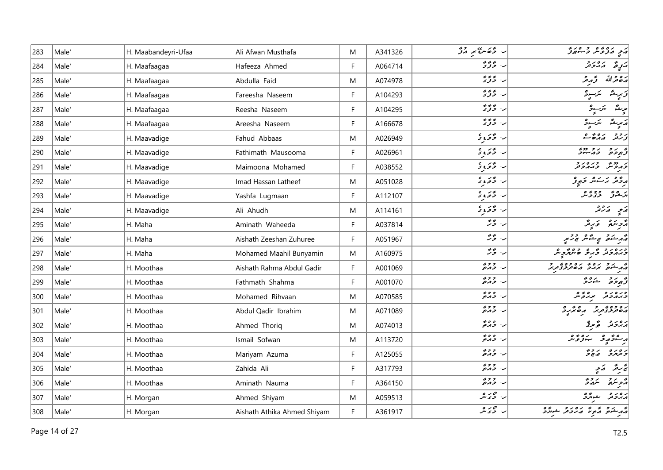| 283 | Male' | H. Maabandeyri-Ufaa | Ali Afwan Musthafa          | M  | A341326 | ر . د ځه سند پر وو      | كمو كالأثوش ومارد                         |
|-----|-------|---------------------|-----------------------------|----|---------|-------------------------|-------------------------------------------|
| 284 | Male' | H. Maafaagaa        | Hafeeza Ahmed               | F. | A064714 | ر په وي                 | پَرُوٍ جُو دَ پِروتر                      |
| 285 | Male' | H. Maafaagaa        | Abdulla Faid                | M  | A074978 | $\frac{222}{222}$       | رە داللە گەرىر                            |
| 286 | Male' | H. Maafaaqaa        | Fareesha Naseem             | F  | A104293 | $\frac{222}{222}$ .     | أرَسٍ عَبْدٍ وَاللَّهِ عَنْ الرَّسِيرِ وَ |
| 287 | Male' | H. Maafaagaa        | Reesha Naseem               | F  | A104295 | ر، گاؤى                 | ىرىش سىرسوم<br>ئ                          |
| 288 | Male' | H. Maafaagaa        | Areesha Naseem              | F  | A166678 | ر کالوی                 | أرتابات الكرسور                           |
| 289 | Male' | H. Maavadige        | Fahud Abbaas                | M  | A026949 | ر. ۇقرۇ                 | تروو برە ئەڭ                              |
| 290 | Male' | H. Maavadige        | Fathimath Mausooma          | F  | A026961 | ر. د څو د د             | أقرار والمحدث المحمد                      |
| 291 | Male' | H. Maavadige        | Maimoona Mohamed            | F. | A038552 | ر. د څو د د             | ז מי כנסנים                               |
| 292 | Male' | H. Maavadige        | Imad Hassan Latheef         | M  | A051028 | ر. د څو د د             | ر د د بر سامگر تربو و                     |
| 293 | Male' | H. Maavadige        | Yashfa Lugmaan              | F. | A112107 | ر. دڅونو د              | ىرىشۇ ئۇقۇش                               |
| 294 | Male' | H. Maavadige        | Ali Ahudh                   | M  | A114161 | ر. د څو د د             | $33.26 - 2.6$                             |
| 295 | Male' | H. Maha             | Aminath Waheeda             | F  | A037814 | ر به بود                | أأروبتكم وأرقد                            |
| 296 | Male' | H. Maha             | Aishath Zeeshan Zuhuree     | F  | A051967 | ر. بیچای                | ۇرىئو پېشكى دو.                           |
| 297 | Male' | H. Maha             | Mohamed Maahil Bunyamin     | M  | A160975 | ر. بیچای                |                                           |
| 298 | Male' | H. Moothaa          | Aishath Rahma Abdul Gadir   | F  | A001069 | 572.                    |                                           |
| 299 | Male' | H. Moothaa          | Fathmath Shahma             | F  | A001070 | ر ووه<br>ر ومر <i>ه</i> | توجدة المستردة                            |
| 300 | Male' | H. Moothaa          | Mohamed Rihvaan             | M  | A070585 | ر. ووه                  | ورەر دەر ئەھ                              |
| 301 | Male' | H. Moothaa          | Abdul Qadir Ibrahim         | M  | A071089 | 572.                    | גם כפי גם הפיציב                          |
| 302 | Male' | H. Moothaa          | Ahmed Thorig                | M  | A074013 | $572 -$                 | ره رو و و                                 |
| 303 | Male' | H. Moothaa          | Ismail Sofwan               | M  | A113720 | 533.7                   | رەم ۋە بەدە بولۇم                         |
| 304 | Male' | H. Moothaa          | Mariyam Azuma               | F  | A125055 | 572.                    | ر ه ر ه<br><del>د</del> بربرو<br>ەسىمى    |
| 305 | Male' | H. Moothaa          | Zahida Ali                  | F  | A317793 | ر ووه.                  | لتج برقته الأميم                          |
| 306 | Male' | H. Moothaa          | Aminath Nauma               | F. | A364150 | ر ووه.                  | הכיתם יתגב                                |
| 307 | Male' | H. Morgan           | Ahmed Shiyam                | M  | A059513 | ر. دې پر                | د ه د و د و و<br>  د بر د تر د شورگر      |
| 308 | Male' | H. Morgan           | Aishath Athika Ahmed Shiyam | F  | A361917 | ر، دې پر                | $\frac{1}{2}$                             |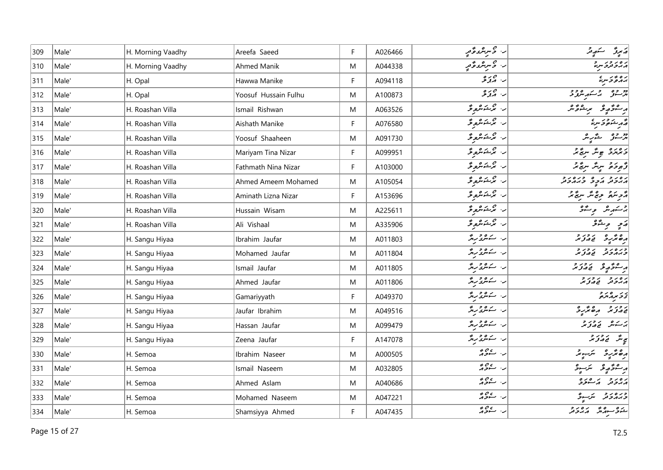| 309 | Male' | H. Morning Vaadhy | Areefa Saeed         | F         | A026466 | ر، وسر شده و تور<br>ر، وسر شده و تور<br>ر، وسر شده و تور | ە ئىبرۇ سىمپەتر                              |
|-----|-------|-------------------|----------------------|-----------|---------|----------------------------------------------------------|----------------------------------------------|
| 310 | Male' | H. Morning Vaadhy | <b>Ahmed Manik</b>   | M         | A044338 |                                                          | ر ه ر و ر<br>م.ر و ترو سرر                   |
| 311 | Male' | H. Opal           | Hawwa Manike         | F.        | A094118 | ر. دې دی                                                 | برە ئەربى                                    |
| 312 | Male' | H. Opal           | Yoosuf Hussain Fulhu | M         | A100873 | ر. دې ده                                                 | دو وه د مسکور و د و<br>مرسوفر د مسکور مرکز م |
| 313 | Male' | H. Roashan Villa  | Ismail Rishwan       | M         | A063526 | ر. ئۇشكىرىگە                                             | ر قۇيۇ بېشۇش                                 |
| 314 | Male' | H. Roashan Villa  | Aishath Manike       | F         | A076580 | ر. ئۇشكىرىگوگ                                            | و د شوه د سره<br>د کار شوه د سره             |
| 315 | Male' | H. Roashan Villa  | Yoosuf Shaaheen      | ${\sf M}$ | A091730 | ر. ئۇشكىرىگونۇ                                           | دد ده شرید<br>مرسو شرید                      |
| 316 | Male' | H. Roashan Villa  | Mariyam Tina Nizar   | F         | A099951 | ر. ئۇشكەرگە                                              | أدمروه ويتز برتج تر                          |
| 317 | Male' | H. Roashan Villa  | Fathmath Nina Nizar  | F         | A103000 | ر. ئۇشكىرىگوگ                                            | أؤوخرة البيثر البدعيم                        |
| 318 | Male' | H. Roashan Villa  | Ahmed Ameem Mohamed  | M         | A105054 | ر. ئۇشكىرىگە                                             | גפנד גבב בגבנדב                              |
| 319 | Male' | H. Roashan Villa  | Aminath Lizna Nizar  | F         | A153696 | ر. ئۇشكىرىمۇ ئ                                           | أأترجتم مرجوعة سرنجمة                        |
| 320 | Male' | H. Roashan Villa  | Hussain Wisam        | M         | A225611 | ر. ئۇشكىرىدۇ ئە                                          | يزسكر مثر وستوفر                             |
| 321 | Male' | H. Roashan Villa  | Ali Vishaal          | M         | A335906 | ر. ئۇشكىرىگوگ                                            | أة و منكو                                    |
| 322 | Male' | H. Sangu Hiyaa    | Ibrahim Jaufar       | M         | A011803 | ر. سەھدىرىد                                              | دەنزىر ئەدرىر                                |
| 323 | Male' | H. Sangu Hiyaa    | Mohamed Jaufar       | M         | A011804 | ر. سەھەيرىدىگە                                           | وره رورو                                     |
| 324 | Male' | H. Sangu Hiyaa    | Ismail Jaufar        | M         | A011805 | ر. سەنلەيمەرلىر                                          | وراءة ويداد والمحادثة                        |
| 325 | Male' | H. Sangu Hiyaa    | Ahmed Jaufar         | M         | A011806 | ر. سەھدىرىد                                              | ر ه ر د د ر د ر                              |
| 326 | Male' | H. Sangu Hiyaa    | Gamariyyath          | F         | A049370 | ر. سەھدىرىد                                              | تح و سره مرد                                 |
| 327 | Male' | H. Sangu Hiyaa    | Jaufar Ibrahim       | M         | A049516 | ر، سەھرىرىدىگر                                           | ودرو مصريرة                                  |
| 328 | Male' | H. Sangu Hiyaa    | Hassan Jaufar        | M         | A099479 | ر. سەھدىرىد                                              | پرستانس الحادثونيز                           |
| 329 | Male' | H. Sangu Hiyaa    | Zeena Jaufar         | F         | A147078 | ر. سەھەر بەر                                             | ىپ ئىش ئە <i>ھەق ئى</i> ر                    |
| 330 | Male' | H. Semoa          | Ibrahim Naseer       | ${\sf M}$ | A000505 | ر. ستوپر                                                 | أرە ئۆر ئەسىر ئىسىر ئىس                      |
| 331 | Male' | H. Semoa          | Ismail Naseem        | ${\sf M}$ | A032805 | ر. سەھەر                                                 | وستوصفي المستوفر                             |
| 332 | Male' | H. Semoa          | Ahmed Aslam          | ${\sf M}$ | A040686 | ر. سه ۱۳۵                                                | ړه رو پر ۱۵۷۵                                |
| 333 | Male' | H. Semoa          | Mohamed Naseem       | M         | A047221 | $200 - 7$                                                | כממכנה ותייכ                                 |
| 334 | Male' | H. Semoa          | Shamsiyya Ahmed      | F         | A047435 | $202 - 1$                                                | شكى سەھەر بەر دەر                            |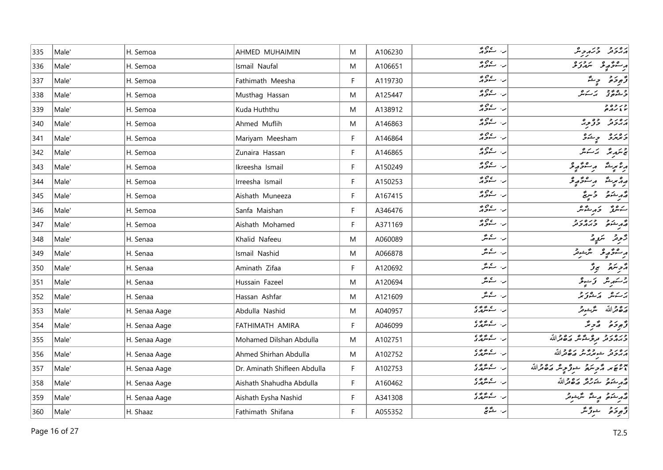| 335 | Male' | H. Semoa      | AHMED MUHAIMIN               | M           | A106230 | ر. سەھەر   | أمهوم وكهوم                                   |
|-----|-------|---------------|------------------------------|-------------|---------|------------|-----------------------------------------------|
| 336 | Male' | H. Semoa      | Ismail Naufal                | M           | A106651 | ر. سەھەر   | ر عۇرپى ئىمەزى                                |
| 337 | Male' | H. Semoa      | Fathimath Meesha             | $\mathsf F$ | A119730 | ر. سترد پر | تزودة ويش                                     |
| 338 | Male' | H. Semoa      | Musthag Hassan               | M           | A125447 | ر. ستردگر  | و دەپرىش بر ئەنگر                             |
| 339 | Male' | H. Semoa      | Kuda Huththu                 | M           | A138912 | ر. ستردم   | 202/2                                         |
| 340 | Male' | H. Semoa      | Ahmed Muflih                 | M           | A146863 | $202 - 10$ | رەرد دەرە                                     |
| 341 | Male' | H. Semoa      | Mariyam Meesham              | F           | A146864 | ر. سەھەر   | ويرمروا ويشو                                  |
| 342 | Male' | H. Semoa      | Zunaira Hassan               | F           | A146865 | ر. سترد پر | تم شمېر شکست شکستر                            |
| 343 | Male' | H. Semoa      | Ikreesha Ismail              | F           | A150249 | $202 - 1$  | اړء بريځه<br>ى سەئۇم بۇ                       |
| 344 | Male' | H. Semoa      | Irreesha Ismail              | F.          | A150253 | $200 - 1$  | ودمريثه<br>برعوجو                             |
| 345 | Male' | H. Semoa      | Aishath Muneeza              | F           | A167415 | ر. ستروژ   | أقهر شده وسرتم                                |
| 346 | Male' | H. Semoa      | Sanfa Maishan                | F           | A346476 | ر. سەھەم   | سەسرىق ئەرسىگەش                               |
| 347 | Male' | H. Semoa      | Aishath Mohamed              | F           | A371169 | ر. سەھە    | ۶ ر ٥ ر ۶<br><i>د بر</i> ۸ ر تر<br>و گرېنو کو |
| 348 | Male' | H. Senaa      | Khalid Nafeeu                | M           | A060089 | ر. کے مگر  | گروژ شموٍږُ                                   |
| 349 | Male' | H. Senaa      | Ismail Nashid                | M           | A066878 | ر. سەپىر   | وستورو المتشور                                |
| 350 | Male' | H. Senaa      | Aminath Zifaa                | F           | A120692 | ر. سەمگر   | أأوسكة بمرتم                                  |
| 351 | Male' | H. Senaa      | Hussain Fazeel               | M           | A120694 | ر. سەپىر   | رژىسىمە تەسىر                                 |
| 352 | Male' | H. Senaa      | Hassan Ashfar                | M           | A121609 | ر. ئەنگە   | يز سەش كەنشۇرىم                               |
| 353 | Male' | H. Senaa Aage | Abdulla Nashid               | M           | A040957 | ر. سەنئەرى | مَ هُ قَرْاللّه مُتَرْسُوتَرْ                 |
| 354 | Male' | H. Senaa Aage | FATHIMATH AMIRA              | $\mathsf F$ | A046099 | ر. سەپتىرى | وٌجوحَ وَ وَ يَرْ                             |
| 355 | Male' | H. Senaa Aage | Mohamed Dilshan Abdulla      | M           | A102751 | ر. سەشەرى  | وره رو مورث مرود الله                         |
| 356 | Male' | H. Senaa Aage | Ahmed Shirhan Abdulla        | M           | A102752 | ر. سەشەرى  | برەرد بەدەر كەھەراللە                         |
| 357 | Male' | H. Senaa Aage | Dr. Aminath Shifleen Abdulla | $\mathsf F$ | A102753 | ر. سەشەرى  | × مع محمد محر متعرفة من من محمد الله          |
| 358 | Male' | H. Senaa Aage | Aishath Shahudha Abdulla     | F.          | A160462 | ر. سەشەرى  | أقرم مشعر مشركتر وتحافرالله                   |
| 359 | Male' | H. Senaa Aage | Aishath Eysha Nashid         | F.          | A341308 | ر. سەپتىرى | لأرشكم ربط لأرسو                              |
| 360 | Male' | H. Shaaz      | Fathimath Shifana            | F           | A055352 | ر. ڪُونج   | ۇرۇۋە سۆزىگە                                  |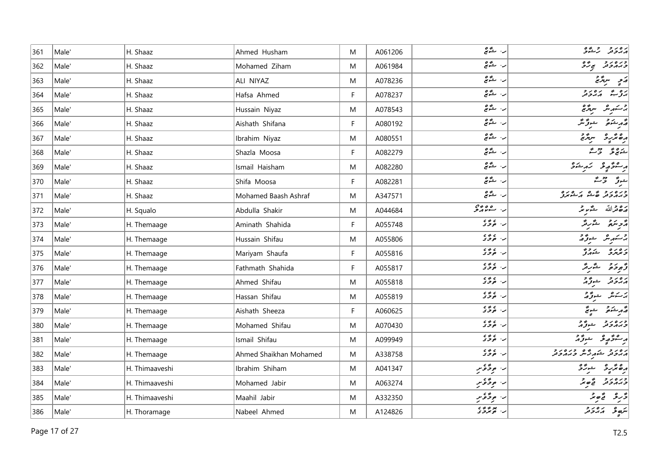| 361 | Male' | H. Shaaz       | Ahmed Husham           | M           | A061206 | ر. ڪُونج                           | رەرو رىشۇ                                    |
|-----|-------|----------------|------------------------|-------------|---------|------------------------------------|----------------------------------------------|
| 362 | Male' | H. Shaaz       | Mohamed Ziham          | M           | A061984 | ر. ئىشەم                           | ورەرو پەرۋ                                   |
| 363 | Male' | H. Shaaz       | ALI NIYAZ              | M           | A078236 | ر. ڪُري                            |                                              |
| 364 | Male' | H. Shaaz       | Hafsa Ahmed            | F           | A078237 | ر. ئىشەم                           | ره به رور د<br>پروب مدرد                     |
| 365 | Male' | H. Shaaz       | Hussain Niyaz          | M           | A078543 | ر. ئىشەم                           |                                              |
| 366 | Male' | H. Shaaz       | Aishath Shifana        | F           | A080192 | ر. ڪُرِي                           | ر<br>رگهرڪو ڪرڙنگر                           |
| 367 | Male' | H. Shaaz       | Ibrahim Niyaz          | M           | A080551 | ر. ئىشەم                           |                                              |
| 368 | Male' | H. Shaaz       | Shazla Moosa           | F           | A082279 | ر. ئىشەم                           | 2, 3, 2, 2                                   |
| 369 | Male' | H. Shaaz       | Ismail Haisham         | M           | A082280 | ر. ڪُونج                           |                                              |
| 370 | Male' | H. Shaaz       | Shifa Moosa            | F           | A082281 | ر. ئىشەم                           | شوتر محرث                                    |
| 371 | Male' | H. Shaaz       | Mohamed Baash Ashraf   | M           | A347571 | ر. ڪگھ                             | ورەر دې ئەكەرەرە                             |
| 372 | Male' | H. Squalo      | Abdulla Shakir         | M           | A044684 | ر. سەردىمۇ                         | رَة قرالله مُحْمَدِ تَرْ                     |
| 373 | Male' | H. Themaage    | Aminath Shahida        | $\mathsf F$ | A055748 | ر ، نور و .<br>ر . نور و .         | أروبتهم فتكرش                                |
| 374 | Male' | H. Themaage    | Hussain Shifau         | M           | A055806 | ر می در<br>ر گوری                  | چرىكى شوۋە                                   |
| 375 | Male' | H. Themaage    | Mariyam Shaufa         | $\mathsf F$ | A055816 | ر ، ء و ،<br>ر . مور د             | رەرە شەدۇ                                    |
| 376 | Male' | H. Themaage    | Fathmath Shahida       | F           | A055817 | ر می دی<br>ر گوری                  | قُرْجُوحَةً مُسَّرِيَّةً                     |
| 377 | Male' | H. Themaage    | Ahmed Shifau           | M           | A055818 | ر ، و و د<br>ر . مور و             | أرور والمستوفر                               |
| 378 | Male' | H. Themaage    | Hassan Shifau          | M           | A055819 | ر و ه و د<br>ر . هو <del>ز</del> ی | ىر كەش سەۋەر                                 |
| 379 | Male' | H. Themaage    | Aishath Sheeza         | F           | A060625 | $550 -$                            | أقهر مشوقه الشويج                            |
| 380 | Male' | H. Themaage    | Mohamed Shifau         | M           | A070430 | ر و ه و د<br>ر . هو <del>ز</del> ی | وره رو شوژو<br><i>دېدو</i> تر شوژو           |
| 381 | Male' | H. Themaage    | Ismail Shifau          | M           | A099949 | ر می در<br>ر۰ مورد                 | أبر سكوكي في شوركم                           |
| 382 | Male' | H. Themaage    | Ahmed Shaikhan Mohamed | M           | A338758 | ر می در<br>ر گوری                  | ره رو شهرشه وره رو<br>پرېدونر څهرشه وبرټرونر |
| 383 | Male' | H. Thimaaveshi | Ibrahim Shiham         | ${\sf M}$   | A041347 | ر و و ژومر                         | رەنگەر ئىنىدۇ                                |
| 384 | Male' | H. Thimaaveshi | Mohamed Jabir          | M           | A063274 | ر و د د و                          |                                              |
| 385 | Male' | H. Thimaaveshi | Maahil Jabir           | M           | A332350 | ر و د د و                          | وحرو قم الملحمة                              |
| 386 | Male' | H. Thoramage   | Nabeel Ahmed           | M           | A124826 | ر. سوء دي<br>ر. مومرد د            | أنتها والمردر                                |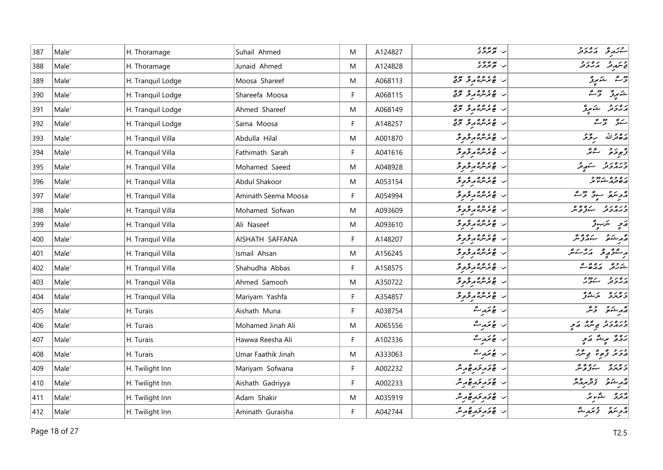| 387 | Male' | H. Thoramage      | Suhail Ahmed        | M  | A124827 | ر. مونوبو د<br>ر. مونورو د                              | ستركد ومترومر                            |
|-----|-------|-------------------|---------------------|----|---------|---------------------------------------------------------|------------------------------------------|
| 388 | Male' | H. Thoramage      | Junaid Ahmed        | M  | A124828 | ر بوده و.<br>ر . مومرو و                                | برورد<br>قح سَمَ <i>دِ قر</i>            |
| 389 | Male' | H. Tranquil Lodge | Moosa Shareef       | M  | A068113 | - ح پر مردم و بره<br>ر <sub>۰</sub> ځ پر مردم و نوم     | روم خورو                                 |
| 390 | Male' | H. Tranquil Lodge | Shareefa Moosa      | F. | A068115 |                                                         | دوية<br>ڪ مورگر<br>س                     |
| 391 | Male' | H. Tranquil Lodge | Ahmed Shareef       | M  | A068149 | ر. ھي مرمرمرمر محمد                                     | پره رو په شوپوژ                          |
| 392 | Male' | H. Tranquil Lodge | Sama Moosa          | F  | A148257 | ر ، عر <i>مزمان و بده</i>                               | $23 - 52$                                |
| 393 | Male' | H. Tranquil Villa | Abdulla Hilal       | M  | A001870 | ر. ھ <sub>ى</sub> زىدىمار ۋە ئ                          | پر <b>ص</b> حر اللّه<br>رۇۋ              |
| 394 | Male' | H. Tranquil Villa | Fathimath Sarah     | F  | A041616 | ر. ھي شريع ۾ موجو مح                                    | و ده شر                                  |
| 395 | Male' | H. Tranquil Villa | Mohamed Saeed       | M  | A048928 | ر. ھ <sub>ى</sub> ئەھەم <i>ۋو</i> رۇ                    | ورەر دىر                                 |
| 396 | Male' | H. Tranquil Villa | Abdul Shakoor       | M  | A053154 | ر. ھي شريا پر وُو دُ                                    | ره وه پر دو و<br>پره تر پر شومانو        |
| 397 | Male' | H. Tranquil Villa | Aminath Seema Moosa | F. | A054994 | ر. ھي شريھ مرڪبو گ                                      | أأروبتهم سوفر فرمشه                      |
| 398 | Male' | H. Tranquil Villa | Mohamed Sofwan      | M  | A093609 | ر. ھ <sub>ى</sub> ئەمەم بۇرۇ                            | ورەرد رەپەە<br><i>دىد</i> ەردىر سۆۋىتر   |
| 399 | Male' | H. Tranquil Villa | Ali Naseef          | M  | A093610 | ر. ھي شريع مرڪبو چُ                                     | أەسم يىكىسور                             |
| 400 | Male' | H. Tranquil Villa | AISHATH SAFFANA     | F. | A148207 | ر. ھ <sub>ى</sub> زىدى <sub>م</sub> ر ۋ <sub>ىر</sub> ئ | و ده ده ده ده د                          |
| 401 | Male' | H. Tranquil Villa | Ismail Ahsan        | M  | A156245 | ر. ھېرسرىم برخونگ                                       | أرجع فيوفر أوراث والمراجيل               |
| 402 | Male' | H. Tranquil Villa | Shahudha Abbas      | F  | A158575 | ر. ھ <sub>ى</sub> ئەھەمەم ئ <sub>ەھ</sub> م             | شرحة برە جى                              |
| 403 | Male' | H. Tranquil Villa | Ahmed Samooh        | M  | A350722 | ر. غږ شرعا بر څورځ                                      | ره رو دوو                                |
| 404 | Male' | H. Tranquil Villa | Mariyam Yashfa      | F. | A354857 | ر. ھېرسرىم مرقوق                                        | ر ه ر ه<br><del>ر</del> بربرگ<br>ىر شەتر |
| 405 | Male' | H. Turais         | Aishath Muna        | F. | A038754 | ر. غوسر می                                              | ە ئەستىم ئ                               |
| 406 | Male' | H. Turais         | Mohamed Jinah Ali   | M  | A065556 | ر. غو تمرمر شر                                          | ورەرو يې شەكتە                           |
| 407 | Male' | H. Turais         | Hawwa Reesha Ali    | F  | A102336 | ر. غۇ ئىرمەت                                            | ره و سي که کرم                           |
| 408 | Male' | H. Turais         | Umar Faathik Jinah  | M  | A333063 | ر. غوسر می                                              | أرجانه وتحويم ويترجم                     |
| 409 | Male' | H. Twilight Inn   | Mariyam Sofwana     | F. | A002232 | ر ، ھۈم خمىۋە ھ                                         | رەرە رەپ<br><i>دى</i> رىرى سۆۋىتر        |
| 410 | Male' | H. Twilight Inn   | Aishath Gadriyya    | F. | A002233 | ر ، ھۇم ئەھم ھەر                                        | د.<br>مگر شوی تی تر <i>مر</i> مگر        |
| 411 | Male' | H. Twilight Inn   | Adam Shakir         | M  | A035919 | ر ، ھۇم ئەھم ھەر                                        | ورو څرمړ                                 |
| 412 | Male' | H. Twilight Inn   | Aminath Guraisha    | F  | A042744 | ر ، ھۇم خور ھور ش                                       | مزويتهم المحترمية                        |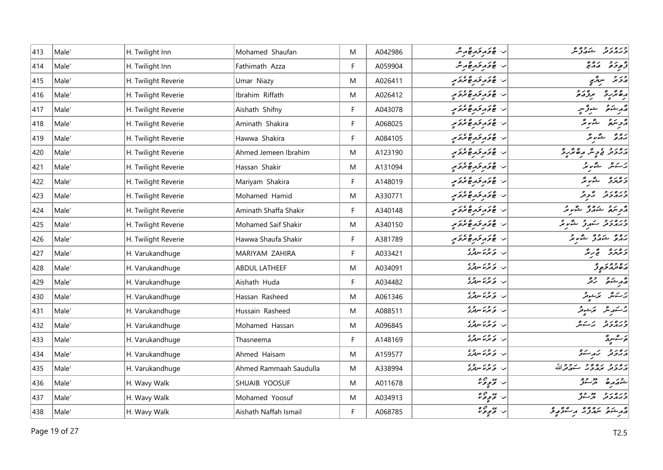| 413 | Male' | H. Twilight Inn     | Mohamed Shaufan        | M         | A042986 | ر ، ھۇم ئەھم ھەر                    | ے پر پار میں<br>مش <i>ہو</i> تو مگر<br>و ره ر و<br><i>د ب</i> رگرفر |
|-----|-------|---------------------|------------------------|-----------|---------|-------------------------------------|---------------------------------------------------------------------|
| 414 | Male' | H. Twilight Inn     | Fathimath Azza         | F         | A059904 | ر ، ھۇم دۇم ھەر                     | ر ه پخ<br>ا ژ <sub>ېجو</sub> ر د                                    |
| 415 | Male' | H. Twilight Reverie | Umar Niazy             | M         | A026411 | ر ، ھۇر ئەرھىر ئوير                 | لرزمز<br>سرگر<br>سرگر                                               |
| 416 | Male' | H. Twilight Reverie | Ibrahim Riffath        | M         | A026412 | ر ، ھۇر خەرھ ئرۇپر                  | ەرھەترىر <sup>ە</sup><br>ە رە<br>بىرتى <i>م</i> ە                   |
| 417 | Male' | H. Twilight Reverie | Aishath Shifny         | F         | A043078 | ر ، ھۇر ئەرھىر ئوير                 | پ <sup>و</sup> مرشومی<br>مرم<br>تشور سر                             |
| 418 | Male' | H. Twilight Reverie | Aminath Shakira        | F         | A068025 | ر ، ع قرمر قرم ع قرم پر             | أأرمز<br>شەم ئىر                                                    |
| 419 | Male' | H. Twilight Reverie | Hawwa Shakira          | F         | A084105 | ر ، ھۇر خرم ھىجرىمىيە               | برەپچ<br>شەرىر                                                      |
| 420 | Male' | H. Twilight Reverie | Ahmed Jemeen Ibrahim   | ${\sf M}$ | A123190 | ر ، ھۇر ئەرھىر ئەر                  | גפנק בקייל תפילקיק                                                  |
| 421 | Male' | H. Twilight Reverie | Hassan Shakir          | ${\sf M}$ | A131094 | ر ، ھۇر ئەرھىگۈ بر                  | ىر كەش ئەشرىر                                                       |
| 422 | Male' | H. Twilight Reverie | Mariyam Shakira        | F         | A148019 | ر ، ھۇر خرىق ئىرقىي                 | رەرە شەر                                                            |
| 423 | Male' | H. Twilight Reverie | Mohamed Hamid          | M         | A330771 | ر ، ھۇر خرىق بىرغىيە                | ورەرو بەر                                                           |
| 424 | Male' | H. Twilight Reverie | Aminath Shaffa Shakir  | F         | A340148 | ر ، ھۇرۇر ھىرەپر                    | أروسكم الشارق الشراير                                               |
| 425 | Male' | H. Twilight Reverie | Mohamed Saif Shakir    | M         | A340150 | ر ، ع قرمر قرم ع قرم پر             | ورەرو سەرۇ ھەرىر                                                    |
| 426 | Male' | H. Twilight Reverie | Hawwa Shaufa Shakir    | F         | A381789 | ر ، ع قرم قرم ع قرم پر              | رەپ خىمرۇ خىرىم                                                     |
| 427 | Male' | H. Varukandhuge     | MARIYAM ZAHIRA         | F         | A033421 | ر به نوکر ماندو دی                  | أومروه تجريحه                                                       |
| 428 | Male' | H. Varukandhuge     | <b>ABDUL LATHEEF</b>   | ${\sf M}$ | A034091 | ر به نوکر در و په                   | ره <del>د</del> ه د کامو و                                          |
| 429 | Male' | H. Varukandhuge     | Aishath Huda           | F         | A034482 | ر به نخریم سرفری                    | و او د کار د کردگر                                                  |
| 430 | Male' | H. Varukandhuge     | Hassan Rasheed         | M         | A061346 | ر به نور به ده و د                  | ر<br>  يركسكر   الكركسيونر                                          |
| 431 | Male' | H. Varukandhuge     | Hussain Rasheed        | M         | A088511 | ر که ترکه سرچری                     | يزختر مراسية المراسية                                               |
| 432 | Male' | H. Varukandhuge     | Mohamed Hassan         | M         | A096845 | ر به نور به دره<br>ر به نورد سربوری | ورەرو پەسەر                                                         |
| 433 | Male' | H. Varukandhuge     | Thasneema              | F         | A148169 | ر به نور در و د<br>ر به نومونو تعری | ئو ڪ <sub>سبرچ</sub> ُ                                              |
| 434 | Male' | H. Varukandhuge     | Ahmed Haisam           | M         | A159577 | ر به نور به دره<br>ر به نورد سربوری | برەرد ئەسكى                                                         |
| 435 | Male' | H. Varukandhuge     | Ahmed Rammaah Saudulla | M         | A338994 | ر که تر را در و د                   | رەرو رەپو روورالله                                                  |
| 436 | Male' | H. Wavy Walk        | SHUAIB YOOSUF          | M         | A011678 | ر ، ءَ ۽ وڻ                         | شەرەھ بىر دە                                                        |
| 437 | Male' | H. Wavy Walk        | Mohamed Yoosuf         | M         | A034913 | ر، عوموما                           | כנסגב בכפ<br>בג'ובט, וק                                             |
| 438 | Male' | H. Wavy Walk        | Aishath Naffah Ismail  | F         | A068785 | ر، عوموما                           | وأرشكم المرومي المسترومي                                            |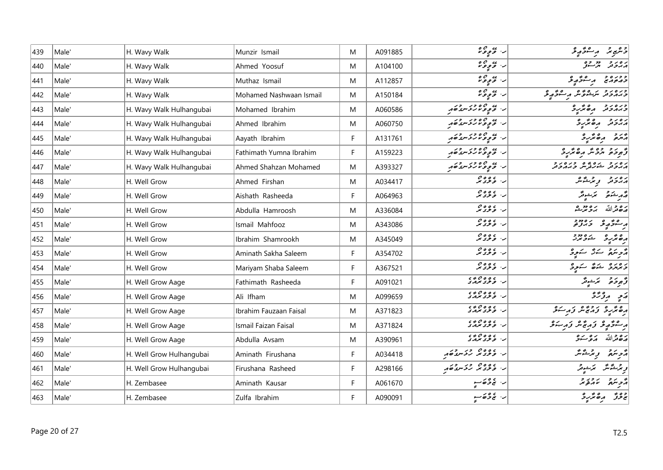| 439 | Male' | H. Wavy Walk             | Munzir Ismail           | M  | A091885 | ر. ءي ه ه<br>ر. و ه ه                     | دقسمبر مراءة ويؤ                                       |
|-----|-------|--------------------------|-------------------------|----|---------|-------------------------------------------|--------------------------------------------------------|
| 440 | Male' | H. Wavy Walk             | Ahmed Yoosuf            | M  | A104100 | ر ، عو وړه<br>ر ، غو ور                   | پروژو<br>دد وه<br>در سو                                |
| 441 | Male' | H. Wavy Walk             | Muthaz Ismail           | M  | A112857 | ر ، ءی و ه ه<br>ر . قو و لا               | مەشۇمەي<br>כ כ גם כ<br>ק מ ס מ ש                       |
| 442 | Male' | H. Wavy Walk             | Mohamed Nashwaan Ismail | M  | A150184 | ر ، ءی و ژه                               | ورەرو برعوش رئے دو                                     |
| 443 | Male' | H. Wavy Walk Hulhangubai | Mohamed Ibrahim         | M  | A060586 | ر. مەم 200 كەندەم                         | ەھ تررۇ<br>و ر ه ر د<br>تر پر تر تر                    |
| 444 | Male' | H. Wavy Walk Hulhangubai | Ahmed Ibrahim           | M  | A060750 | ر، ده ۵۵۵۶ ورسوده د                       | $\circ$ $\circ$ $\circ$<br>ر ه ر د<br>پر ژونر<br>フンメめハ |
| 445 | Male' | H. Wavy Walk Hulhangubai | Aayath Ibrahim          | F. | A131761 | ر. مەم 200 دىر بەر                        | 0.60<br>پور د<br>د تره<br>برخ بورو                     |
| 446 | Male' | H. Wavy Walk Hulhangubai | Fathimath Yumna Ibrahim | F  | A159223 | ر، ره ۵۵۵۶ ور<br>ر۰ توموم رنگ سرگ که      | .<br>המכים תכיל תסילים                                 |
| 447 | Male' | H. Wavy Walk Hulhangubai | Ahmed Shahzan Mohamed   | M  | A393327 | ر. ،، ٥٥٥ درسرونه                         | ره روپره ده وره رو<br>پروتر څرنرس وبرټرتر              |
| 448 | Male' | H. Well Grow             | Ahmed Firshan           | M  | A034417 | ه ه ه ه<br>حرمو مر<br>ر.                  | أرورو وبرحشر                                           |
| 449 | Male' | H. Well Grow             | Aishath Rasheeda        | F. | A064963 | ر ه وه ه<br>ر گورنم                       | مەم ئىكى ئىم ئىكىنى ئىكەن                              |
| 450 | Male' | H. Well Grow             | Abdulla Hamroosh        | M  | A336084 | ر<br>ر                                    | برە تراللە<br>بره دو ه<br>بر <del>و</del> بر شو        |
| 451 | Male' | H. Well Grow             | Ismail Mahfooz          | M  | A343086 | ر . ه وه <i>ه</i><br>ر . ه ور بر          | د عوضي و ده دو                                         |
| 452 | Male' | H. Well Grow             | Ibrahim Shamrookh       | M  | A345049 | ر ه وه ه<br>ر گورنم                       | ەر ھەتمەر 2<br>ب<br>ر 2 جو ج<br>مشوق محرک              |
| 453 | Male' | H. Well Grow             | Aminath Sakha Saleem    | F  | A354702 |                                           | ړٌ د سَرَدَ سَوِرَ                                     |
| 454 | Male' | H. Well Grow             | Mariyam Shaba Saleem    | F  | A367521 | ر<br>ر.                                   | رەرە شەھ سەرە                                          |
| 455 | Male' | H. Well Grow Aage        | Fathimath Rasheeda      | F  | A091021 | ، ءەەەبى<br>ر. ئ <i>ۆ</i> رى <i>بىر</i> ى | ۇي <sub>ۇ</sub> رۇ ئەسىر                               |
| 456 | Male' | H. Well Grow Aage        | Ali Ifham               | M  | A099659 | ، ءەەەبى<br>ر. ئ <i>و</i> رى <i>بىر</i> ى | ړی پرورو                                               |
| 457 | Male' | H. Well Grow Aage        | Ibrahim Fauzaan Faisal  | M  | A371823 | ے وہ دے ہے<br>ر• نوحری محداد ی            | مەھەر ئەدەپمى ئەرىئى                                   |
| 458 | Male' | H. Well Grow Aage        | Ismail Faizan Faisal    | M  | A371824 | ے وہ دی دے<br>ر• نوحری مردر ی             | و جۇي ئۇ ئەي ئەر ئەر ب                                 |
| 459 | Male' | H. Well Grow Aage        | Abdulla Avsam           | M  | A390961 | ے وہ دے ہے<br>ر• نوحری محداد ی            | رە قراللە مەھ كە                                       |
| 460 | Male' | H. Well Grow Hulhangubai | Aminath Firushana       | F. | A034418 | ، ئەۋە ئەر ئەر ئەر                        | ويريثير<br>ومحر حرقرهم                                 |
| 461 | Male' | H. Well Grow Hulhangubai | Firushana Rasheed       | F. | A298166 | ، ءەە دىرىدە،                             | ويرعدُش يرَجونر                                        |
| 462 | Male' | H. Zembasee              | Aminath Kausar          | F. | A061670 | $-696$                                    | ړې سرچ<br>ىر 3 بەر<br>بىر مۇمىر                        |
| 463 | Male' | H. Zembasee              | Zulfa Ibrahim           | F. | A090091 | ر، ءُوڻ ب                                 | جوز مەمزىر                                             |
|     |       |                          |                         |    |         |                                           |                                                        |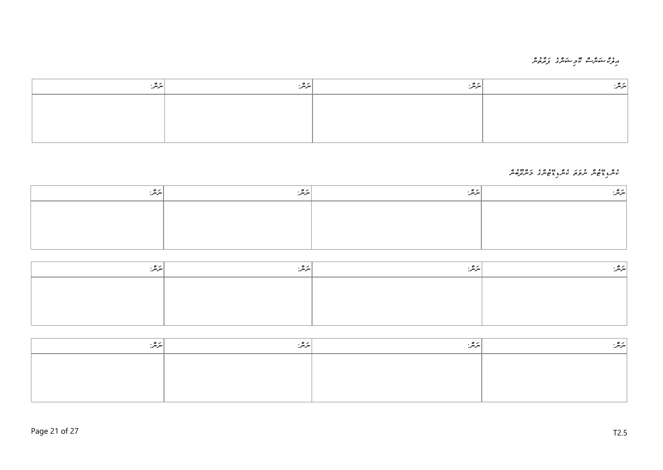## *w7qAn8m? sCw7mRo>u; wEw7mRw;sBo<*

| ' مرمر | 'يئرىثر: |
|--------|----------|
|        |          |
|        |          |
|        |          |

## *w7q9r@w7m> sCw7qHtFoFw7s; mAm=q7 w7qHtFoFw7s;*

| ىر تە | $\mathcal{O} \times$<br>$\sim$ | $\sim$<br>. . | لترنثر |
|-------|--------------------------------|---------------|--------|
|       |                                |               |        |
|       |                                |               |        |
|       |                                |               |        |

| انترنثر: | $^{\circ}$ | يبرهر | $^{\circ}$<br>سرسر |
|----------|------------|-------|--------------------|
|          |            |       |                    |
|          |            |       |                    |
|          |            |       |                    |

| ىرتىر: | 。<br>سر سر | .,<br>مرسر |
|--------|------------|------------|
|        |            |            |
|        |            |            |
|        |            |            |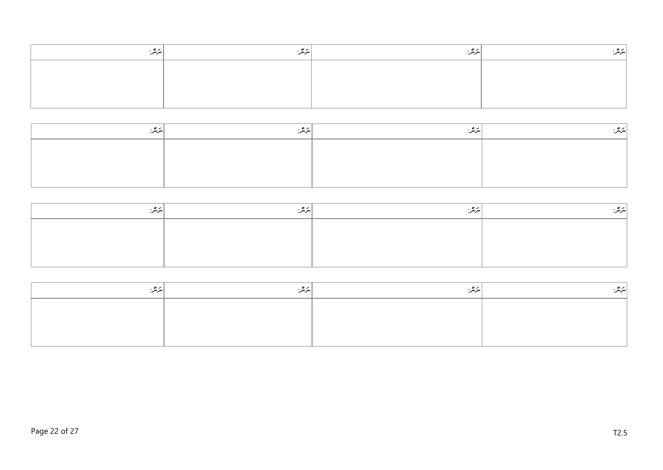| ىزىتر: | $\cdot$ | ىئرىتر: |  |
|--------|---------|---------|--|
|        |         |         |  |
|        |         |         |  |
|        |         |         |  |

| متريثر به | 。<br>'سرسر'۔ | يتزيترا | سرسر |
|-----------|--------------|---------|------|
|           |              |         |      |
|           |              |         |      |
|           |              |         |      |

| ىئرىتر. | $\sim$ | ا بر هه. | لىرىش |
|---------|--------|----------|-------|
|         |        |          |       |
|         |        |          |       |
|         |        |          |       |

| 。<br>مرس. | $\overline{\phantom{a}}$<br>مر مىر | يتريثر |
|-----------|------------------------------------|--------|
|           |                                    |        |
|           |                                    |        |
|           |                                    |        |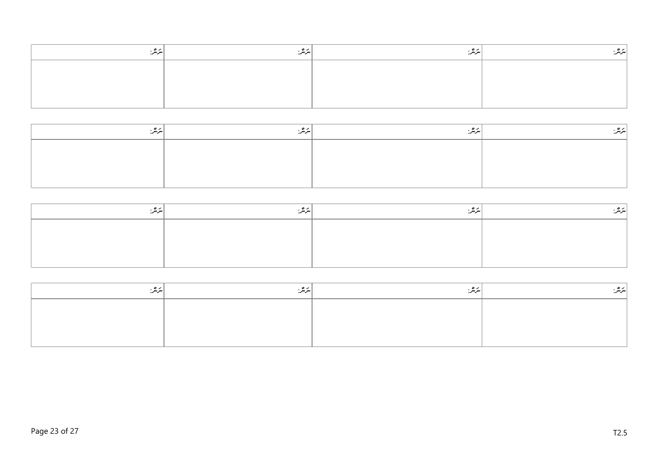| ير هو . | $\overline{\phantom{a}}$ | يرمر | اير هنه. |
|---------|--------------------------|------|----------|
|         |                          |      |          |
|         |                          |      |          |
|         |                          |      |          |

| ىر تىر: | $\circ$ $\sim$<br>" سرسر . | يترمير | o . |
|---------|----------------------------|--------|-----|
|         |                            |        |     |
|         |                            |        |     |
|         |                            |        |     |

| 'تترنثر: | 。<br>,,,, |  |
|----------|-----------|--|
|          |           |  |
|          |           |  |
|          |           |  |

|  | . ه |
|--|-----|
|  |     |
|  |     |
|  |     |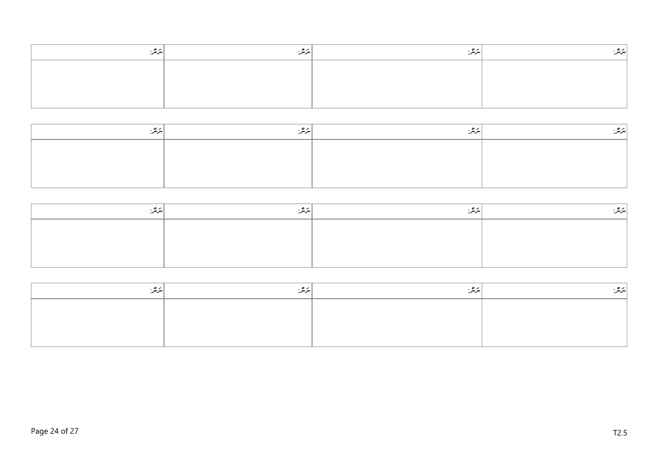| ير هو . | $\overline{\phantom{a}}$ | يرمر | اير هنه. |
|---------|--------------------------|------|----------|
|         |                          |      |          |
|         |                          |      |          |
|         |                          |      |          |

| ىر تىر: | $\circ$ $\sim$<br>" سرسر . | يترمير | o . |
|---------|----------------------------|--------|-----|
|         |                            |        |     |
|         |                            |        |     |
|         |                            |        |     |

| 'تترنثر: | 。<br>,,,, |  |
|----------|-----------|--|
|          |           |  |
|          |           |  |
|          |           |  |

|  | . ه |
|--|-----|
|  |     |
|  |     |
|  |     |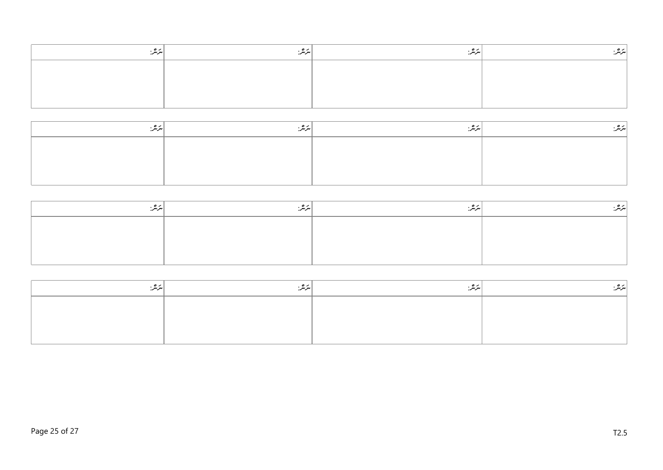| $\cdot$ | ο. | $\frac{\circ}{\cdot}$ | $\sim$<br>سرسر |
|---------|----|-----------------------|----------------|
|         |    |                       |                |
|         |    |                       |                |
|         |    |                       |                |

| يريثن | ' سرسر . |  |
|-------|----------|--|
|       |          |  |
|       |          |  |
|       |          |  |

| بر ه | 。 | $\sim$<br>َ سومس. |  |
|------|---|-------------------|--|
|      |   |                   |  |
|      |   |                   |  |
|      |   |                   |  |

| 。<br>. س | ىرىىر |  |
|----------|-------|--|
|          |       |  |
|          |       |  |
|          |       |  |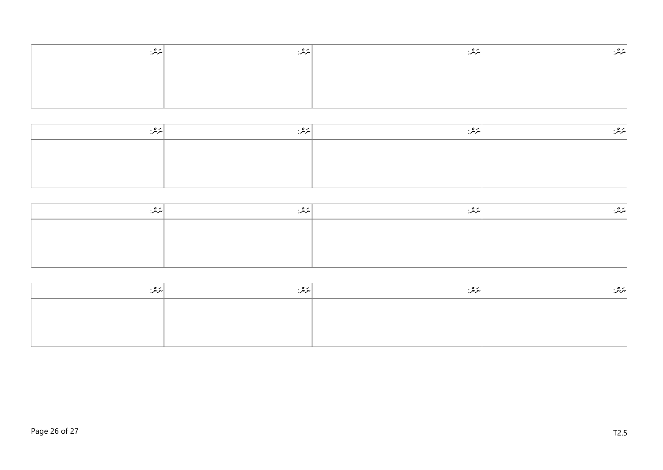| ير هو . | $\overline{\phantom{a}}$ | يرمر | لتزمثن |
|---------|--------------------------|------|--------|
|         |                          |      |        |
|         |                          |      |        |
|         |                          |      |        |

| ىر تىر: | $\circ$ $\sim$<br>" سرسر . | يترمير | o . |
|---------|----------------------------|--------|-----|
|         |                            |        |     |
|         |                            |        |     |
|         |                            |        |     |

| 'تترنثر: | 。<br>,,,, |  |
|----------|-----------|--|
|          |           |  |
|          |           |  |
|          |           |  |

|  | . ه |
|--|-----|
|  |     |
|  |     |
|  |     |